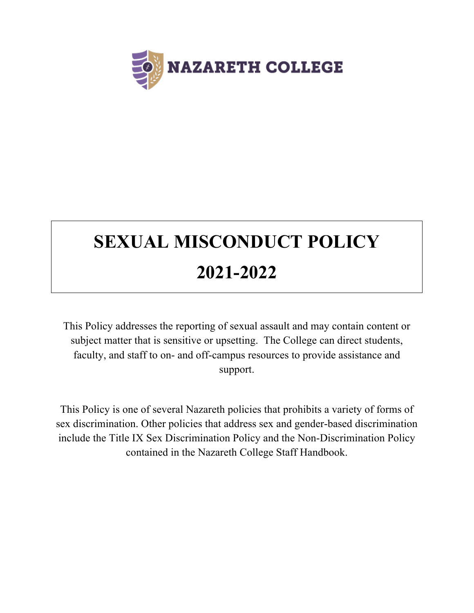

# **SEXUAL MISCONDUCT POLICY 2021-2022**

This Policy addresses the reporting of sexual assault and may contain content or subject matter that is sensitive or upsetting. The College can direct students, faculty, and staff to on- and off-campus resources to provide assistance and support.

This Policy is one of several Nazareth policies that prohibits a variety of forms of sex discrimination. Other policies that address sex and gender-based discrimination include the Title IX Sex Discrimination Policy and the Non-Discrimination Policy contained in the Nazareth College Staff Handbook.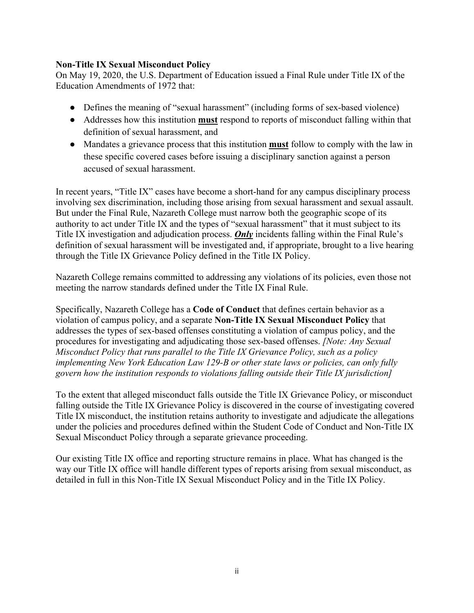# **Non-Title IX Sexual Misconduct Policy**

On May 19, 2020, the U.S. Department of Education issued a Final Rule under Title IX of the Education Amendments of 1972 that:

- Defines the meaning of "sexual harassment" (including forms of sex-based violence)
- Addresses how this institution **must** respond to reports of misconduct falling within that definition of sexual harassment, and
- Mandates a grievance process that this institution **must** follow to comply with the law in these specific covered cases before issuing a disciplinary sanction against a person accused of sexual harassment.

In recent years, "Title IX" cases have become a short-hand for any campus disciplinary process involving sex discrimination, including those arising from sexual harassment and sexual assault. But under the Final Rule, Nazareth College must narrow both the geographic scope of its authority to act under Title IX and the types of "sexual harassment" that it must subject to its Title IX investigation and adjudication process. *Only* incidents falling within the Final Rule's definition of sexual harassment will be investigated and, if appropriate, brought to a live hearing through the Title IX Grievance Policy defined in the Title IX Policy.

Nazareth College remains committed to addressing any violations of its policies, even those not meeting the narrow standards defined under the Title IX Final Rule.

Specifically, Nazareth College has a **Code of Conduct** that defines certain behavior as a violation of campus policy, and a separate **Non-Title IX Sexual Misconduct Policy** that addresses the types of sex-based offenses constituting a violation of campus policy, and the procedures for investigating and adjudicating those sex-based offenses. *[Note: Any Sexual Misconduct Policy that runs parallel to the Title IX Grievance Policy, such as a policy implementing New York Education Law 129-B or other state laws or policies, can only fully govern how the institution responds to violations falling outside their Title IX jurisdiction]*

To the extent that alleged misconduct falls outside the Title IX Grievance Policy, or misconduct falling outside the Title IX Grievance Policy is discovered in the course of investigating covered Title IX misconduct, the institution retains authority to investigate and adjudicate the allegations under the policies and procedures defined within the Student Code of Conduct and Non-Title IX Sexual Misconduct Policy through a separate grievance proceeding.

Our existing Title IX office and reporting structure remains in place. What has changed is the way our Title IX office will handle different types of reports arising from sexual misconduct, as detailed in full in this Non-Title IX Sexual Misconduct Policy and in the Title IX Policy.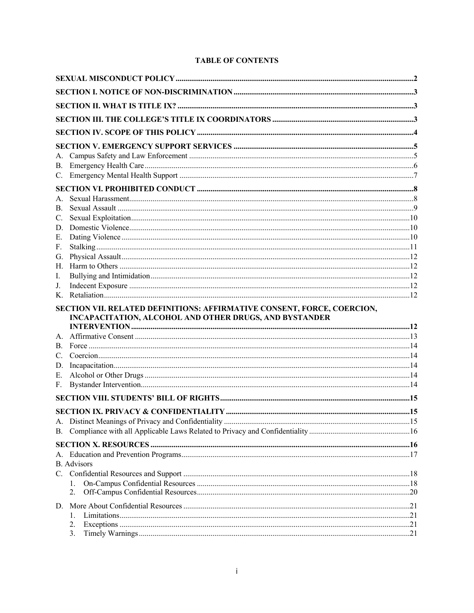# **TABLE OF CONTENTS**

| В.<br>C.          |                                                                         |  |
|-------------------|-------------------------------------------------------------------------|--|
| D.                |                                                                         |  |
| Е.                |                                                                         |  |
| F.                |                                                                         |  |
| G.                |                                                                         |  |
| Н.                |                                                                         |  |
| I.                |                                                                         |  |
| J.<br>K.          |                                                                         |  |
|                   | SECTION VII. RELATED DEFINITIONS: AFFIRMATIVE CONSENT, FORCE, COERCION, |  |
|                   | INCAPACITATION, ALCOHOL AND OTHER DRUGS, AND BYSTANDER                  |  |
|                   |                                                                         |  |
| A.                |                                                                         |  |
|                   |                                                                         |  |
| $C_{\cdot}$<br>D. |                                                                         |  |
| E.                |                                                                         |  |
| F.                |                                                                         |  |
|                   |                                                                         |  |
|                   |                                                                         |  |
|                   |                                                                         |  |
|                   |                                                                         |  |
|                   |                                                                         |  |
|                   |                                                                         |  |
|                   | <b>B.</b> Advisors                                                      |  |
|                   |                                                                         |  |
|                   |                                                                         |  |
|                   | 2.                                                                      |  |
| D.                |                                                                         |  |
|                   | 1.                                                                      |  |
|                   | 2.<br>3.                                                                |  |
|                   |                                                                         |  |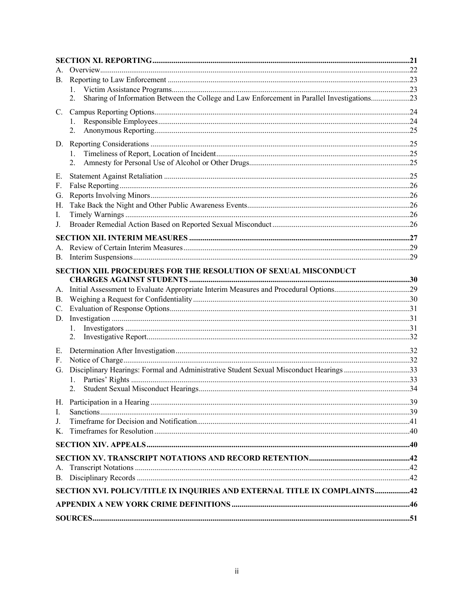| A.             |                                                                                                   |  |  |  |
|----------------|---------------------------------------------------------------------------------------------------|--|--|--|
| <b>B.</b>      |                                                                                                   |  |  |  |
|                | 1.                                                                                                |  |  |  |
|                | Sharing of Information Between the College and Law Enforcement in Parallel Investigations23<br>2. |  |  |  |
| C.             |                                                                                                   |  |  |  |
|                | 1.                                                                                                |  |  |  |
|                | 2.                                                                                                |  |  |  |
|                |                                                                                                   |  |  |  |
|                | 1.                                                                                                |  |  |  |
|                | 2.                                                                                                |  |  |  |
| Е.             |                                                                                                   |  |  |  |
| F.             |                                                                                                   |  |  |  |
| G.             |                                                                                                   |  |  |  |
| Н.             |                                                                                                   |  |  |  |
| I.             |                                                                                                   |  |  |  |
| J.             |                                                                                                   |  |  |  |
|                |                                                                                                   |  |  |  |
| A.             |                                                                                                   |  |  |  |
| <b>B.</b>      |                                                                                                   |  |  |  |
|                | <b>SECTION XIII. PROCEDURES FOR THE RESOLUTION OF SEXUAL MISCONDUCT</b>                           |  |  |  |
| A.             |                                                                                                   |  |  |  |
| <b>B.</b>      |                                                                                                   |  |  |  |
| $\mathbf{C}$ . |                                                                                                   |  |  |  |
|                |                                                                                                   |  |  |  |
|                | 1.                                                                                                |  |  |  |
|                | 2.                                                                                                |  |  |  |
| Ε.             |                                                                                                   |  |  |  |
| F.             |                                                                                                   |  |  |  |
|                | G. Disciplinary Hearings: Formal and Administrative Student Sexual Misconduct Hearings 33         |  |  |  |
|                | 1.                                                                                                |  |  |  |
|                |                                                                                                   |  |  |  |
|                |                                                                                                   |  |  |  |
| L.             |                                                                                                   |  |  |  |
| J.             |                                                                                                   |  |  |  |
| K.             |                                                                                                   |  |  |  |
|                |                                                                                                   |  |  |  |
|                |                                                                                                   |  |  |  |
| А.             |                                                                                                   |  |  |  |
|                |                                                                                                   |  |  |  |
|                | SECTION XVI. POLICY/TITLE IX INQUIRIES AND EXTERNAL TITLE IX COMPLAINTS42                         |  |  |  |
|                |                                                                                                   |  |  |  |
|                |                                                                                                   |  |  |  |
|                |                                                                                                   |  |  |  |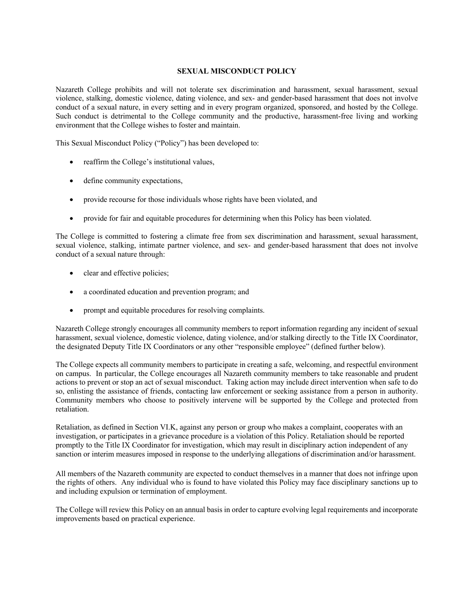#### **SEXUAL MISCONDUCT POLICY**

Nazareth College prohibits and will not tolerate sex discrimination and harassment, sexual harassment, sexual violence, stalking, domestic violence, dating violence, and sex- and gender-based harassment that does not involve conduct of a sexual nature, in every setting and in every program organized, sponsored, and hosted by the College. Such conduct is detrimental to the College community and the productive, harassment-free living and working environment that the College wishes to foster and maintain.

This Sexual Misconduct Policy ("Policy") has been developed to:

- reaffirm the College's institutional values,
- define community expectations,
- provide recourse for those individuals whose rights have been violated, and
- provide for fair and equitable procedures for determining when this Policy has been violated.

The College is committed to fostering a climate free from sex discrimination and harassment, sexual harassment, sexual violence, stalking, intimate partner violence, and sex- and gender-based harassment that does not involve conduct of a sexual nature through:

- clear and effective policies;
- a coordinated education and prevention program; and
- prompt and equitable procedures for resolving complaints.

Nazareth College strongly encourages all community members to report information regarding any incident of sexual harassment, sexual violence, domestic violence, dating violence, and/or stalking directly to the Title IX Coordinator, the designated Deputy Title IX Coordinators or any other "responsible employee" (defined further below).

The College expects all community members to participate in creating a safe, welcoming, and respectful environment on campus. In particular, the College encourages all Nazareth community members to take reasonable and prudent actions to prevent or stop an act of sexual misconduct. Taking action may include direct intervention when safe to do so, enlisting the assistance of friends, contacting law enforcement or seeking assistance from a person in authority. Community members who choose to positively intervene will be supported by the College and protected from retaliation.

Retaliation, as defined in Section VI.K, against any person or group who makes a complaint, cooperates with an investigation, or participates in a grievance procedure is a violation of this Policy. Retaliation should be reported promptly to the Title IX Coordinator for investigation, which may result in disciplinary action independent of any sanction or interim measures imposed in response to the underlying allegations of discrimination and/or harassment.

All members of the Nazareth community are expected to conduct themselves in a manner that does not infringe upon the rights of others. Any individual who is found to have violated this Policy may face disciplinary sanctions up to and including expulsion or termination of employment.

The College will review this Policy on an annual basis in order to capture evolving legal requirements and incorporate improvements based on practical experience.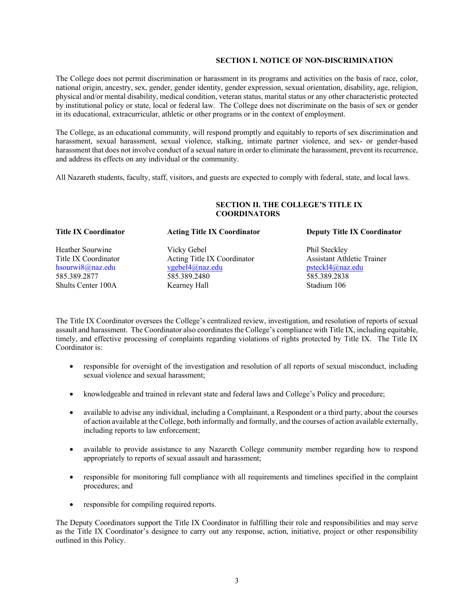#### **SECTION I. NOTICE OF NON-DISCRIMINATION**

The College does not permit discrimination or harassment in its programs and activities on the basis of race, color, national origin, ancestry, sex, gender, gender identity, gender expression, sexual orientation, disability, age, religion, physical and/or mental disability, medical condition, veteran status, marital status or any other characteristic protected by institutional policy or state, local or federal law. The College does not discriminate on the basis of sex or gender in its educational, extracurricular, athletic or other programs or in the context of employment.

The College, as an educational community, will respond promptly and equitably to reports of sex discrimination and harassment, sexual harassment, sexual violence, stalking, intimate partner violence, and sex- or gender-based harassment that does not involve conduct of a sexual nature in order to eliminate the harassment, prevent its recurrence, and address its effects on any individual or the community.

All Nazareth students, faculty, staff, visitors, and guests are expected to comply with federal, state, and local laws.

#### **SECTION II. THE COLLEGE'S TITLE IX COORDINATORS**

Heather Sourwine **Vicky Gebel** Phil Steckley Title IX Coordinator Acting Title IX Coordinator Assistant Athletic Trainer hsourwi8@naz.edu vgebel4@naz.edu psteckl4@naz.edu 585.389.2877 585.389.2480 585.389.2838 Shults Center 100A Kearney Hall Stadium 106

#### **Title IX Coordinator Acting Title IX Coordinator Deputy Title IX Coordinator**

The Title IX Coordinator oversees the College's centralized review, investigation, and resolution of reports of sexual assault and harassment. The Coordinator also coordinates the College's compliance with Title IX, including equitable, timely, and effective processing of complaints regarding violations of rights protected by Title IX. The Title IX Coordinator is:

- responsible for oversight of the investigation and resolution of all reports of sexual misconduct, including sexual violence and sexual harassment;
- knowledgeable and trained in relevant state and federal laws and College's Policy and procedure;
- available to advise any individual, including a Complainant, a Respondent or a third party, about the courses of action available at the College, both informally and formally, and the courses of action available externally, including reports to law enforcement;
- available to provide assistance to any Nazareth College community member regarding how to respond appropriately to reports of sexual assault and harassment;
- responsible for monitoring full compliance with all requirements and timelines specified in the complaint procedures; and
- responsible for compiling required reports.

The Deputy Coordinators support the Title IX Coordinator in fulfilling their role and responsibilities and may serve as the Title IX Coordinator's designee to carry out any response, action, initiative, project or other responsibility outlined in this Policy.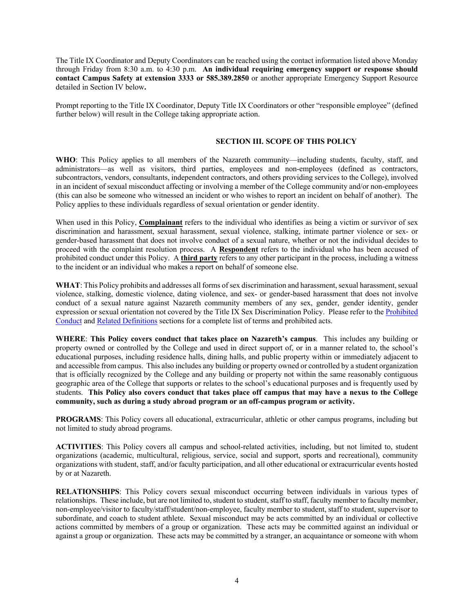The Title IX Coordinator and Deputy Coordinators can be reached using the contact information listed above Monday through Friday from 8:30 a.m. to 4:30 p.m. **An individual requiring emergency support or response should contact Campus Safety at extension 3333 or 585.389.2850** or another appropriate Emergency Support Resource detailed in Section IV below**.**

Prompt reporting to the Title IX Coordinator, Deputy Title IX Coordinators or other "responsible employee" (defined further below) will result in the College taking appropriate action.

#### **SECTION III. SCOPE OF THIS POLICY**

**WHO**: This Policy applies to all members of the Nazareth community—including students, faculty, staff, and administrators—as well as visitors, third parties, employees and non-employees (defined as contractors, subcontractors, vendors, consultants, independent contractors, and others providing services to the College), involved in an incident of sexual misconduct affecting or involving a member of the College community and/or non-employees (this can also be someone who witnessed an incident or who wishes to report an incident on behalf of another). The Policy applies to these individuals regardless of sexual orientation or gender identity.

When used in this Policy, **Complainant** refers to the individual who identifies as being a victim or survivor of sex discrimination and harassment, sexual harassment, sexual violence, stalking, intimate partner violence or sex- or gender-based harassment that does not involve conduct of a sexual nature, whether or not the individual decides to proceed with the complaint resolution process. A **Respondent** refers to the individual who has been accused of prohibited conduct under this Policy. A **third party** refers to any other participant in the process, including a witness to the incident or an individual who makes a report on behalf of someone else.

**WHAT**: This Policy prohibits and addresses all forms of sex discrimination and harassment, sexual harassment, sexual violence, stalking, domestic violence, dating violence, and sex- or gender-based harassment that does not involve conduct of a sexual nature against Nazareth community members of any sex, gender, gender identity, gender expression or sexual orientation not covered by the Title IX Sex Discrimination Policy. Please refer to the Prohibited Conduct and Related Definitions sections for a complete list of terms and prohibited acts.

**WHERE**: **This Policy covers conduct that takes place on Nazareth's campus**. This includes any building or property owned or controlled by the College and used in direct support of, or in a manner related to, the school's educational purposes, including residence halls, dining halls, and public property within or immediately adjacent to and accessible from campus. This also includes any building or property owned or controlled by a student organization that is officially recognized by the College and any building or property not within the same reasonably contiguous geographic area of the College that supports or relates to the school's educational purposes and is frequently used by students. **This Policy also covers conduct that takes place off campus that may have a nexus to the College community, such as during a study abroad program or an off-campus program or activity.**

**PROGRAMS**: This Policy covers all educational, extracurricular, athletic or other campus programs, including but not limited to study abroad programs.

**ACTIVITIES**: This Policy covers all campus and school-related activities, including, but not limited to, student organizations (academic, multicultural, religious, service, social and support, sports and recreational), community organizations with student, staff, and/or faculty participation, and all other educational or extracurricular events hosted by or at Nazareth.

**RELATIONSHIPS**: This Policy covers sexual misconduct occurring between individuals in various types of relationships. These include, but are not limited to, student to student, staff to staff, faculty member to faculty member, non-employee/visitor to faculty/staff/student/non-employee, faculty member to student, staff to student, supervisor to subordinate, and coach to student athlete. Sexual misconduct may be acts committed by an individual or collective actions committed by members of a group or organization. These acts may be committed against an individual or against a group or organization. These acts may be committed by a stranger, an acquaintance or someone with whom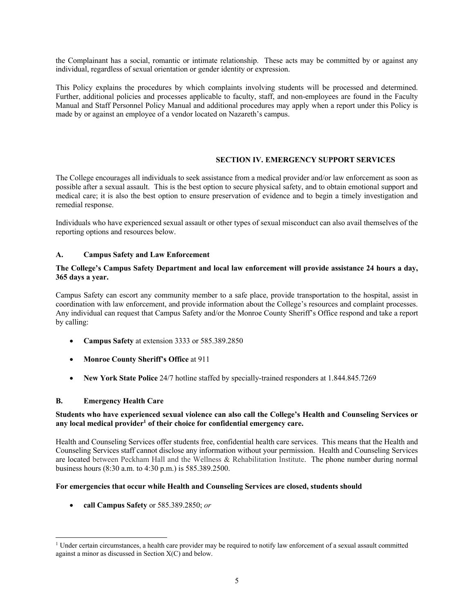the Complainant has a social, romantic or intimate relationship. These acts may be committed by or against any individual, regardless of sexual orientation or gender identity or expression.

This Policy explains the procedures by which complaints involving students will be processed and determined. Further, additional policies and processes applicable to faculty, staff, and non-employees are found in the Faculty Manual and Staff Personnel Policy Manual and additional procedures may apply when a report under this Policy is made by or against an employee of a vendor located on Nazareth's campus.

# **SECTION IV. EMERGENCY SUPPORT SERVICES**

The College encourages all individuals to seek assistance from a medical provider and/or law enforcement as soon as possible after a sexual assault. This is the best option to secure physical safety, and to obtain emotional support and medical care; it is also the best option to ensure preservation of evidence and to begin a timely investigation and remedial response.

Individuals who have experienced sexual assault or other types of sexual misconduct can also avail themselves of the reporting options and resources below.

#### **A. Campus Safety and Law Enforcement**

#### **The College's Campus Safety Department and local law enforcement will provide assistance 24 hours a day, 365 days a year.**

Campus Safety can escort any community member to a safe place, provide transportation to the hospital, assist in coordination with law enforcement, and provide information about the College's resources and complaint processes. Any individual can request that Campus Safety and/or the Monroe County Sheriff's Office respond and take a report by calling:

- **Campus Safety** at extension 3333 or 585.389.2850
- **Monroe County Sheriff's Office** at 911
- **New York State Police** 24/7 hotline staffed by specially-trained responders at 1.844.845.7269

#### **B. Emergency Health Care**

#### **Students who have experienced sexual violence can also call the College's Health and Counseling Services or any local medical provider1 of their choice for confidential emergency care.**

Health and Counseling Services offer students free, confidential health care services. This means that the Health and Counseling Services staff cannot disclose any information without your permission. Health and Counseling Services are located between Peckham Hall and the Wellness & Rehabilitation Institute. The phone number during normal business hours (8:30 a.m. to 4:30 p.m.) is 585.389.2500.

#### **For emergencies that occur while Health and Counseling Services are closed, students should**

• **call Campus Safety** or 585.389.2850; *or*

<sup>&</sup>lt;sup>1</sup> Under certain circumstances, a health care provider may be required to notify law enforcement of a sexual assault committed against a minor as discussed in Section X(C) and below.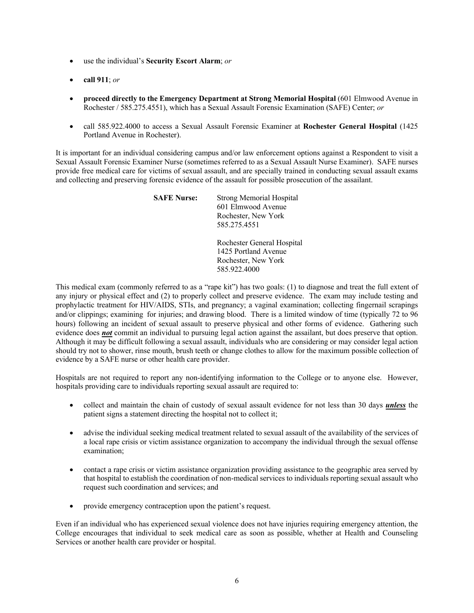- use the individual's **Security Escort Alarm**; *or*
- **call 911**; *or*
- **proceed directly to the Emergency Department at Strong Memorial Hospital** (601 Elmwood Avenue in Rochester / 585.275.4551), which has a Sexual Assault Forensic Examination (SAFE) Center; *or*
- call 585.922.4000 to access a Sexual Assault Forensic Examiner at **Rochester General Hospital** (1425 Portland Avenue in Rochester).

It is important for an individual considering campus and/or law enforcement options against a Respondent to visit a Sexual Assault Forensic Examiner Nurse (sometimes referred to as a Sexual Assault Nurse Examiner). SAFE nurses provide free medical care for victims of sexual assault, and are specially trained in conducting sexual assault exams and collecting and preserving forensic evidence of the assault for possible prosecution of the assailant.

| <b>SAFE Nurse:</b> | <b>Strong Memorial Hospital</b><br>601 Elmwood Avenue<br>Rochester, New York<br>585.275.4551 |
|--------------------|----------------------------------------------------------------------------------------------|
|                    | Rochester General Hospital<br>1425 Portland Avenue<br>Rochester, New York                    |

This medical exam (commonly referred to as a "rape kit") has two goals: (1) to diagnose and treat the full extent of any injury or physical effect and (2) to properly collect and preserve evidence. The exam may include testing and prophylactic treatment for HIV/AIDS, STIs, and pregnancy; a vaginal examination; collecting fingernail scrapings and/or clippings; examining for injuries; and drawing blood. There is a limited window of time (typically 72 to 96 hours) following an incident of sexual assault to preserve physical and other forms of evidence. Gathering such evidence does *not* commit an individual to pursuing legal action against the assailant, but does preserve that option. Although it may be difficult following a sexual assault, individuals who are considering or may consider legal action should try not to shower, rinse mouth, brush teeth or change clothes to allow for the maximum possible collection of evidence by a SAFE nurse or other health care provider.

585.922.4000

Hospitals are not required to report any non-identifying information to the College or to anyone else. However, hospitals providing care to individuals reporting sexual assault are required to:

- collect and maintain the chain of custody of sexual assault evidence for not less than 30 days *unless* the patient signs a statement directing the hospital not to collect it;
- advise the individual seeking medical treatment related to sexual assault of the availability of the services of a local rape crisis or victim assistance organization to accompany the individual through the sexual offense examination;
- contact a rape crisis or victim assistance organization providing assistance to the geographic area served by that hospital to establish the coordination of non-medical services to individuals reporting sexual assault who request such coordination and services; and
- provide emergency contraception upon the patient's request.

Even if an individual who has experienced sexual violence does not have injuries requiring emergency attention, the College encourages that individual to seek medical care as soon as possible, whether at Health and Counseling Services or another health care provider or hospital.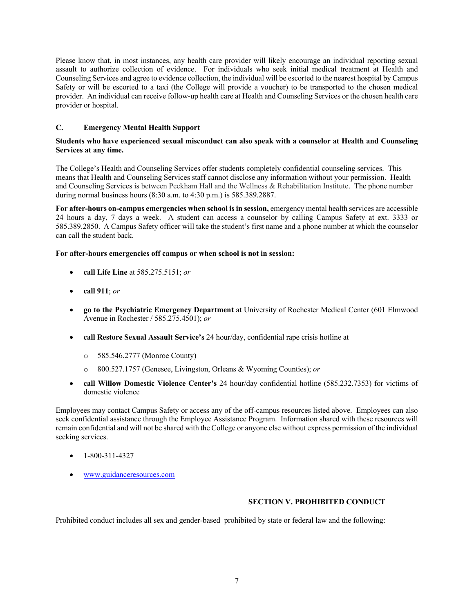Please know that, in most instances, any health care provider will likely encourage an individual reporting sexual assault to authorize collection of evidence. For individuals who seek initial medical treatment at Health and Counseling Services and agree to evidence collection, the individual will be escorted to the nearest hospital by Campus Safety or will be escorted to a taxi (the College will provide a voucher) to be transported to the chosen medical provider. An individual can receive follow-up health care at Health and Counseling Services or the chosen health care provider or hospital.

# **C. Emergency Mental Health Support**

#### **Students who have experienced sexual misconduct can also speak with a counselor at Health and Counseling Services at any time.**

The College's Health and Counseling Services offer students completely confidential counseling services. This means that Health and Counseling Services staff cannot disclose any information without your permission. Health and Counseling Services is between Peckham Hall and the Wellness & Rehabilitation Institute. The phone number during normal business hours (8:30 a.m. to 4:30 p.m.) is 585.389.2887.

**For after-hours on-campus emergencies when school is in session,** emergency mental health services are accessible 24 hours a day, 7 days a week. A student can access a counselor by calling Campus Safety at ext. 3333 or 585.389.2850. A Campus Safety officer will take the student's first name and a phone number at which the counselor can call the student back.

#### **For after-hours emergencies off campus or when school is not in session:**

- **call Life Line** at 585.275.5151; *or*
- **call 911**; *or*
- **go to the Psychiatric Emergency Department** at University of Rochester Medical Center (601 Elmwood Avenue in Rochester / 585.275.4501); *or*
- **call Restore Sexual Assault Service's** 24 hour/day, confidential rape crisis hotline at
	- o 585.546.2777 (Monroe County)
	- o 800.527.1757 (Genesee, Livingston, Orleans & Wyoming Counties); *or*
- **call Willow Domestic Violence Center's** 24 hour/day confidential hotline (585.232.7353) for victims of domestic violence

Employees may contact Campus Safety or access any of the off-campus resources listed above. Employees can also seek confidential assistance through the Employee Assistance Program. Information shared with these resources will remain confidential and will not be shared with the College or anyone else without express permission of the individual seeking services.

- 1-800-311-4327
- www.guidanceresources.com

#### **SECTION V. PROHIBITED CONDUCT**

Prohibited conduct includes all sex and gender-based prohibited by state or federal law and the following: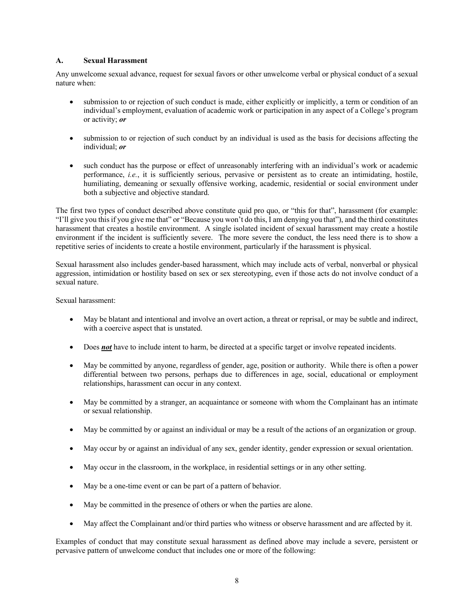#### **A. Sexual Harassment**

Any unwelcome sexual advance, request for sexual favors or other unwelcome verbal or physical conduct of a sexual nature when:

- submission to or rejection of such conduct is made, either explicitly or implicitly, a term or condition of an individual's employment, evaluation of academic work or participation in any aspect of a College's program or activity; *or*
- submission to or rejection of such conduct by an individual is used as the basis for decisions affecting the individual; *or*
- such conduct has the purpose or effect of unreasonably interfering with an individual's work or academic performance, *i.e.*, it is sufficiently serious, pervasive or persistent as to create an intimidating, hostile, humiliating, demeaning or sexually offensive working, academic, residential or social environment under both a subjective and objective standard.

The first two types of conduct described above constitute quid pro quo, or "this for that", harassment (for example: "I'll give you this if you give me that" or "Because you won't do this, I am denying you that"), and the third constitutes harassment that creates a hostile environment. A single isolated incident of sexual harassment may create a hostile environment if the incident is sufficiently severe. The more severe the conduct, the less need there is to show a repetitive series of incidents to create a hostile environment, particularly if the harassment is physical.

Sexual harassment also includes gender-based harassment, which may include acts of verbal, nonverbal or physical aggression, intimidation or hostility based on sex or sex stereotyping, even if those acts do not involve conduct of a sexual nature.

Sexual harassment:

- May be blatant and intentional and involve an overt action, a threat or reprisal, or may be subtle and indirect, with a coercive aspect that is unstated.
- Does *not* have to include intent to harm, be directed at a specific target or involve repeated incidents.
- May be committed by anyone, regardless of gender, age, position or authority. While there is often a power differential between two persons, perhaps due to differences in age, social, educational or employment relationships, harassment can occur in any context.
- May be committed by a stranger, an acquaintance or someone with whom the Complainant has an intimate or sexual relationship.
- May be committed by or against an individual or may be a result of the actions of an organization or group.
- May occur by or against an individual of any sex, gender identity, gender expression or sexual orientation.
- May occur in the classroom, in the workplace, in residential settings or in any other setting.
- May be a one-time event or can be part of a pattern of behavior.
- May be committed in the presence of others or when the parties are alone.
- May affect the Complainant and/or third parties who witness or observe harassment and are affected by it.

Examples of conduct that may constitute sexual harassment as defined above may include a severe, persistent or pervasive pattern of unwelcome conduct that includes one or more of the following: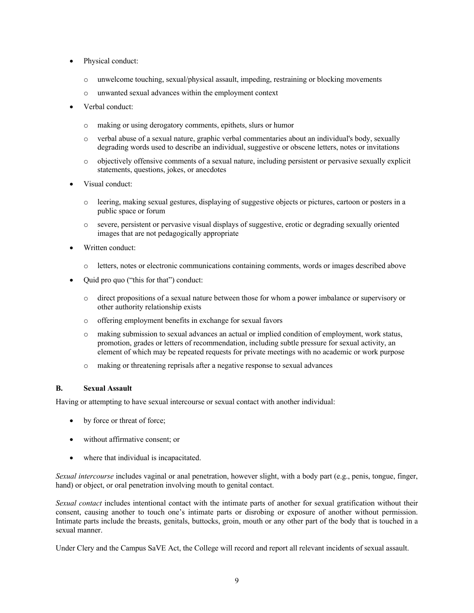- Physical conduct:
	- o unwelcome touching, sexual/physical assault, impeding, restraining or blocking movements
	- o unwanted sexual advances within the employment context
- Verbal conduct:
	- o making or using derogatory comments, epithets, slurs or humor
	- o verbal abuse of a sexual nature, graphic verbal commentaries about an individual's body, sexually degrading words used to describe an individual, suggestive or obscene letters, notes or invitations
	- o objectively offensive comments of a sexual nature, including persistent or pervasive sexually explicit statements, questions, jokes, or anecdotes
- Visual conduct:
	- o leering, making sexual gestures, displaying of suggestive objects or pictures, cartoon or posters in a public space or forum
	- o severe, persistent or pervasive visual displays of suggestive, erotic or degrading sexually oriented images that are not pedagogically appropriate
- Written conduct:
	- o letters, notes or electronic communications containing comments, words or images described above
- Quid pro quo ("this for that") conduct:
	- o direct propositions of a sexual nature between those for whom a power imbalance or supervisory or other authority relationship exists
	- o offering employment benefits in exchange for sexual favors
	- o making submission to sexual advances an actual or implied condition of employment, work status, promotion, grades or letters of recommendation, including subtle pressure for sexual activity, an element of which may be repeated requests for private meetings with no academic or work purpose
	- o making or threatening reprisals after a negative response to sexual advances

#### **B. Sexual Assault**

Having or attempting to have sexual intercourse or sexual contact with another individual:

- by force or threat of force;
- without affirmative consent; or
- where that individual is incapacitated.

*Sexual intercourse* includes vaginal or anal penetration, however slight, with a body part (e.g., penis, tongue, finger, hand) or object, or oral penetration involving mouth to genital contact.

*Sexual contact* includes intentional contact with the intimate parts of another for sexual gratification without their consent, causing another to touch one's intimate parts or disrobing or exposure of another without permission. Intimate parts include the breasts, genitals, buttocks, groin, mouth or any other part of the body that is touched in a sexual manner.

Under Clery and the Campus SaVE Act, the College will record and report all relevant incidents of sexual assault.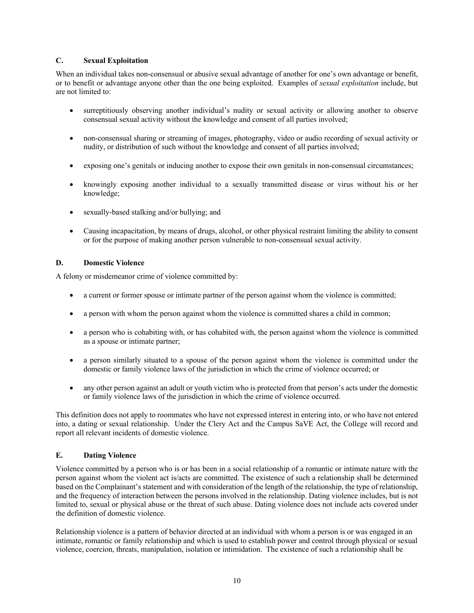#### **C. Sexual Exploitation**

When an individual takes non-consensual or abusive sexual advantage of another for one's own advantage or benefit, or to benefit or advantage anyone other than the one being exploited. Examples of *sexual exploitation* include, but are not limited to:

- surreptitiously observing another individual's nudity or sexual activity or allowing another to observe consensual sexual activity without the knowledge and consent of all parties involved;
- non-consensual sharing or streaming of images, photography, video or audio recording of sexual activity or nudity, or distribution of such without the knowledge and consent of all parties involved;
- exposing one's genitals or inducing another to expose their own genitals in non-consensual circumstances;
- knowingly exposing another individual to a sexually transmitted disease or virus without his or her knowledge;
- sexually-based stalking and/or bullying; and
- Causing incapacitation, by means of drugs, alcohol, or other physical restraint limiting the ability to consent or for the purpose of making another person vulnerable to non-consensual sexual activity.

# **D. Domestic Violence**

A felony or misdemeanor crime of violence committed by:

- a current or former spouse or intimate partner of the person against whom the violence is committed;
- a person with whom the person against whom the violence is committed shares a child in common;
- a person who is cohabiting with, or has cohabited with, the person against whom the violence is committed as a spouse or intimate partner;
- a person similarly situated to a spouse of the person against whom the violence is committed under the domestic or family violence laws of the jurisdiction in which the crime of violence occurred; or
- any other person against an adult or youth victim who is protected from that person's acts under the domestic or family violence laws of the jurisdiction in which the crime of violence occurred.

This definition does not apply to roommates who have not expressed interest in entering into, or who have not entered into, a dating or sexual relationship. Under the Clery Act and the Campus SaVE Act, the College will record and report all relevant incidents of domestic violence.

# **E. Dating Violence**

Violence committed by a person who is or has been in a social relationship of a romantic or intimate nature with the person against whom the violent act is/acts are committed. The existence of such a relationship shall be determined based on the Complainant's statement and with consideration of the length of the relationship, the type of relationship, and the frequency of interaction between the persons involved in the relationship. Dating violence includes, but is not limited to, sexual or physical abuse or the threat of such abuse. Dating violence does not include acts covered under the definition of domestic violence.

Relationship violence is a pattern of behavior directed at an individual with whom a person is or was engaged in an intimate, romantic or family relationship and which is used to establish power and control through physical or sexual violence, coercion, threats, manipulation, isolation or intimidation. The existence of such a relationship shall be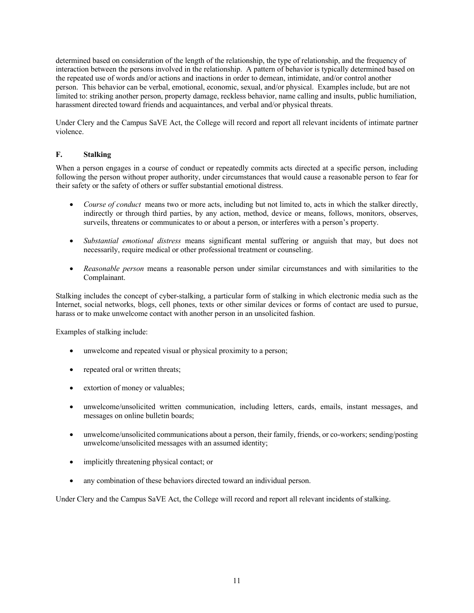determined based on consideration of the length of the relationship, the type of relationship, and the frequency of interaction between the persons involved in the relationship. A pattern of behavior is typically determined based on the repeated use of words and/or actions and inactions in order to demean, intimidate, and/or control another person. This behavior can be verbal, emotional, economic, sexual, and/or physical. Examples include, but are not limited to: striking another person, property damage, reckless behavior, name calling and insults, public humiliation, harassment directed toward friends and acquaintances, and verbal and/or physical threats.

Under Clery and the Campus SaVE Act, the College will record and report all relevant incidents of intimate partner violence.

#### **F. Stalking**

When a person engages in a course of conduct or repeatedly commits acts directed at a specific person, including following the person without proper authority, under circumstances that would cause a reasonable person to fear for their safety or the safety of others or suffer substantial emotional distress.

- *Course of conduct* means two or more acts, including but not limited to, acts in which the stalker directly, indirectly or through third parties, by any action, method, device or means, follows, monitors, observes, surveils, threatens or communicates to or about a person, or interferes with a person's property.
- *Substantial emotional distress* means significant mental suffering or anguish that may, but does not necessarily, require medical or other professional treatment or counseling.
- *Reasonable person* means a reasonable person under similar circumstances and with similarities to the Complainant.

Stalking includes the concept of cyber-stalking, a particular form of stalking in which electronic media such as the Internet, social networks, blogs, cell phones, texts or other similar devices or forms of contact are used to pursue, harass or to make unwelcome contact with another person in an unsolicited fashion.

Examples of stalking include:

- unwelcome and repeated visual or physical proximity to a person;
- repeated oral or written threats;
- extortion of money or valuables;
- unwelcome/unsolicited written communication, including letters, cards, emails, instant messages, and messages on online bulletin boards;
- unwelcome/unsolicited communications about a person, their family, friends, or co-workers; sending/posting unwelcome/unsolicited messages with an assumed identity;
- implicitly threatening physical contact; or
- any combination of these behaviors directed toward an individual person.

Under Clery and the Campus SaVE Act, the College will record and report all relevant incidents of stalking.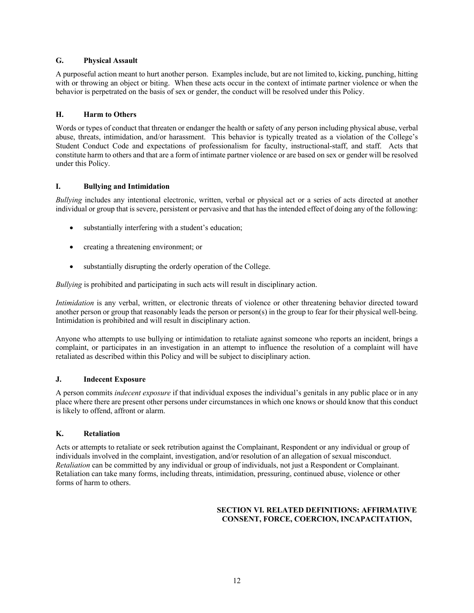#### **G. Physical Assault**

A purposeful action meant to hurt another person. Examples include, but are not limited to, kicking, punching, hitting with or throwing an object or biting. When these acts occur in the context of intimate partner violence or when the behavior is perpetrated on the basis of sex or gender, the conduct will be resolved under this Policy.

# **H. Harm to Others**

Words or types of conduct that threaten or endanger the health or safety of any person including physical abuse, verbal abuse, threats, intimidation, and/or harassment. This behavior is typically treated as a violation of the College's Student Conduct Code and expectations of professionalism for faculty, instructional-staff, and staff. Acts that constitute harm to others and that are a form of intimate partner violence or are based on sex or gender will be resolved under this Policy.

# **I. Bullying and Intimidation**

*Bullying* includes any intentional electronic, written, verbal or physical act or a series of acts directed at another individual or group that is severe, persistent or pervasive and that has the intended effect of doing any of the following:

- substantially interfering with a student's education;
- creating a threatening environment; or
- substantially disrupting the orderly operation of the College.

*Bullying* is prohibited and participating in such acts will result in disciplinary action.

*Intimidation* is any verbal, written, or electronic threats of violence or other threatening behavior directed toward another person or group that reasonably leads the person or person(s) in the group to fear for their physical well-being. Intimidation is prohibited and will result in disciplinary action.

Anyone who attempts to use bullying or intimidation to retaliate against someone who reports an incident, brings a complaint, or participates in an investigation in an attempt to influence the resolution of a complaint will have retaliated as described within this Policy and will be subject to disciplinary action.

#### **J. Indecent Exposure**

A person commits *indecent exposure* if that individual exposes the individual's genitals in any public place or in any place where there are present other persons under circumstances in which one knows or should know that this conduct is likely to offend, affront or alarm.

#### **K. Retaliation**

Acts or attempts to retaliate or seek retribution against the Complainant, Respondent or any individual or group of individuals involved in the complaint, investigation, and/or resolution of an allegation of sexual misconduct. *Retaliation* can be committed by any individual or group of individuals, not just a Respondent or Complainant. Retaliation can take many forms, including threats, intimidation, pressuring, continued abuse, violence or other forms of harm to others.

#### **SECTION VI. RELATED DEFINITIONS: AFFIRMATIVE CONSENT, FORCE, COERCION, INCAPACITATION,**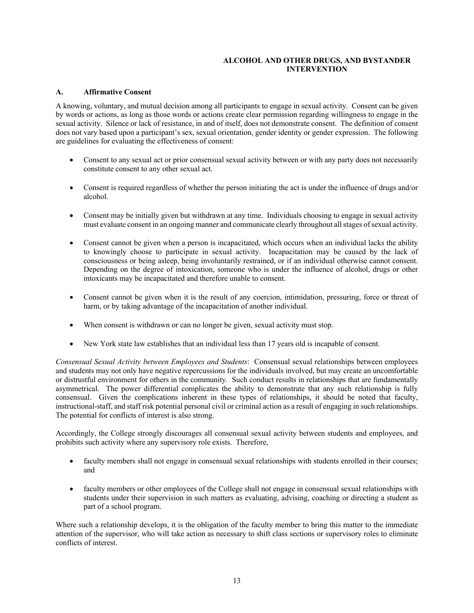#### **ALCOHOL AND OTHER DRUGS, AND BYSTANDER INTERVENTION**

#### **A. Affirmative Consent**

A knowing, voluntary, and mutual decision among all participants to engage in sexual activity. Consent can be given by words or actions, as long as those words or actions create clear permission regarding willingness to engage in the sexual activity. Silence or lack of resistance, in and of itself, does not demonstrate consent. The definition of consent does not vary based upon a participant's sex, sexual orientation, gender identity or gender expression. The following are guidelines for evaluating the effectiveness of consent:

- Consent to any sexual act or prior consensual sexual activity between or with any party does not necessarily constitute consent to any other sexual act.
- Consent is required regardless of whether the person initiating the act is under the influence of drugs and/or alcohol.
- Consent may be initially given but withdrawn at any time. Individuals choosing to engage in sexual activity must evaluate consent in an ongoing manner and communicate clearly throughout all stages of sexual activity.
- Consent cannot be given when a person is incapacitated, which occurs when an individual lacks the ability to knowingly choose to participate in sexual activity. Incapacitation may be caused by the lack of consciousness or being asleep, being involuntarily restrained, or if an individual otherwise cannot consent. Depending on the degree of intoxication, someone who is under the influence of alcohol, drugs or other intoxicants may be incapacitated and therefore unable to consent.
- Consent cannot be given when it is the result of any coercion, intimidation, pressuring, force or threat of harm, or by taking advantage of the incapacitation of another individual.
- When consent is withdrawn or can no longer be given, sexual activity must stop.
- New York state law establishes that an individual less than 17 years old is incapable of consent.

*Consensual Sexual Activity between Employees and Students*: Consensual sexual relationships between employees and students may not only have negative repercussions for the individuals involved, but may create an uncomfortable or distrustful environment for others in the community. Such conduct results in relationships that are fundamentally asymmetrical. The power differential complicates the ability to demonstrate that any such relationship is fully consensual. Given the complications inherent in these types of relationships, it should be noted that faculty, instructional-staff, and staff risk potential personal civil or criminal action as a result of engaging in such relationships. The potential for conflicts of interest is also strong.

Accordingly, the College strongly discourages all consensual sexual activity between students and employees, and prohibits such activity where any supervisory role exists. Therefore,

- faculty members shall not engage in consensual sexual relationships with students enrolled in their courses; and
- faculty members or other employees of the College shall not engage in consensual sexual relationships with students under their supervision in such matters as evaluating, advising, coaching or directing a student as part of a school program.

Where such a relationship develops, it is the obligation of the faculty member to bring this matter to the immediate attention of the supervisor, who will take action as necessary to shift class sections or supervisory roles to eliminate conflicts of interest.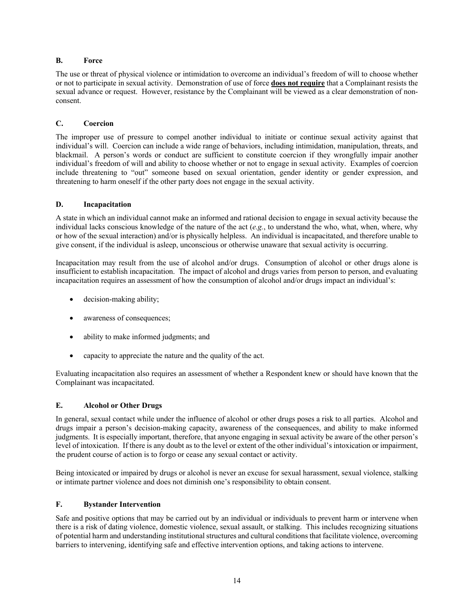#### **B. Force**

The use or threat of physical violence or intimidation to overcome an individual's freedom of will to choose whether or not to participate in sexual activity. Demonstration of use of force **does not require** that a Complainant resists the sexual advance or request. However, resistance by the Complainant will be viewed as a clear demonstration of nonconsent.

# **C. Coercion**

The improper use of pressure to compel another individual to initiate or continue sexual activity against that individual's will. Coercion can include a wide range of behaviors, including intimidation, manipulation, threats, and blackmail. A person's words or conduct are sufficient to constitute coercion if they wrongfully impair another individual's freedom of will and ability to choose whether or not to engage in sexual activity. Examples of coercion include threatening to "out" someone based on sexual orientation, gender identity or gender expression, and threatening to harm oneself if the other party does not engage in the sexual activity.

# **D. Incapacitation**

A state in which an individual cannot make an informed and rational decision to engage in sexual activity because the individual lacks conscious knowledge of the nature of the act (*e.g.*, to understand the who, what, when, where, why or how of the sexual interaction) and/or is physically helpless. An individual is incapacitated, and therefore unable to give consent, if the individual is asleep, unconscious or otherwise unaware that sexual activity is occurring.

Incapacitation may result from the use of alcohol and/or drugs. Consumption of alcohol or other drugs alone is insufficient to establish incapacitation. The impact of alcohol and drugs varies from person to person, and evaluating incapacitation requires an assessment of how the consumption of alcohol and/or drugs impact an individual's:

- decision-making ability;
- awareness of consequences;
- ability to make informed judgments; and
- capacity to appreciate the nature and the quality of the act.

Evaluating incapacitation also requires an assessment of whether a Respondent knew or should have known that the Complainant was incapacitated.

#### **E. Alcohol or Other Drugs**

In general, sexual contact while under the influence of alcohol or other drugs poses a risk to all parties. Alcohol and drugs impair a person's decision-making capacity, awareness of the consequences, and ability to make informed judgments. It is especially important, therefore, that anyone engaging in sexual activity be aware of the other person's level of intoxication. If there is any doubt as to the level or extent of the other individual's intoxication or impairment, the prudent course of action is to forgo or cease any sexual contact or activity.

Being intoxicated or impaired by drugs or alcohol is never an excuse for sexual harassment, sexual violence, stalking or intimate partner violence and does not diminish one's responsibility to obtain consent.

# **F. Bystander Intervention**

Safe and positive options that may be carried out by an individual or individuals to prevent harm or intervene when there is a risk of dating violence, domestic violence, sexual assault, or stalking. This includes recognizing situations of potential harm and understanding institutional structures and cultural conditions that facilitate violence, overcoming barriers to intervening, identifying safe and effective intervention options, and taking actions to intervene.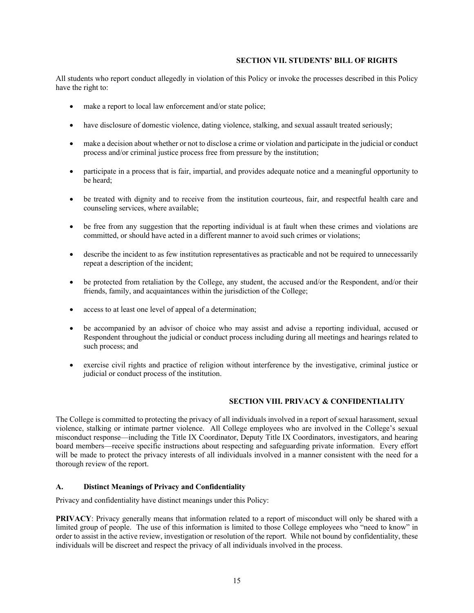#### **SECTION VII. STUDENTS' BILL OF RIGHTS**

All students who report conduct allegedly in violation of this Policy or invoke the processes described in this Policy have the right to:

- make a report to local law enforcement and/or state police;
- have disclosure of domestic violence, dating violence, stalking, and sexual assault treated seriously;
- make a decision about whether or not to disclose a crime or violation and participate in the judicial or conduct process and/or criminal justice process free from pressure by the institution;
- participate in a process that is fair, impartial, and provides adequate notice and a meaningful opportunity to be heard;
- be treated with dignity and to receive from the institution courteous, fair, and respectful health care and counseling services, where available;
- be free from any suggestion that the reporting individual is at fault when these crimes and violations are committed, or should have acted in a different manner to avoid such crimes or violations;
- describe the incident to as few institution representatives as practicable and not be required to unnecessarily repeat a description of the incident;
- be protected from retaliation by the College, any student, the accused and/or the Respondent, and/or their friends, family, and acquaintances within the jurisdiction of the College;
- access to at least one level of appeal of a determination;
- be accompanied by an advisor of choice who may assist and advise a reporting individual, accused or Respondent throughout the judicial or conduct process including during all meetings and hearings related to such process; and
- exercise civil rights and practice of religion without interference by the investigative, criminal justice or judicial or conduct process of the institution.

#### **SECTION VIII. PRIVACY & CONFIDENTIALITY**

The College is committed to protecting the privacy of all individuals involved in a report of sexual harassment, sexual violence, stalking or intimate partner violence. All College employees who are involved in the College's sexual misconduct response—including the Title IX Coordinator, Deputy Title IX Coordinators, investigators, and hearing board members—receive specific instructions about respecting and safeguarding private information. Every effort will be made to protect the privacy interests of all individuals involved in a manner consistent with the need for a thorough review of the report.

#### **A. Distinct Meanings of Privacy and Confidentiality**

Privacy and confidentiality have distinct meanings under this Policy:

**PRIVACY**: Privacy generally means that information related to a report of misconduct will only be shared with a limited group of people. The use of this information is limited to those College employees who "need to know" in order to assist in the active review, investigation or resolution of the report. While not bound by confidentiality, these individuals will be discreet and respect the privacy of all individuals involved in the process.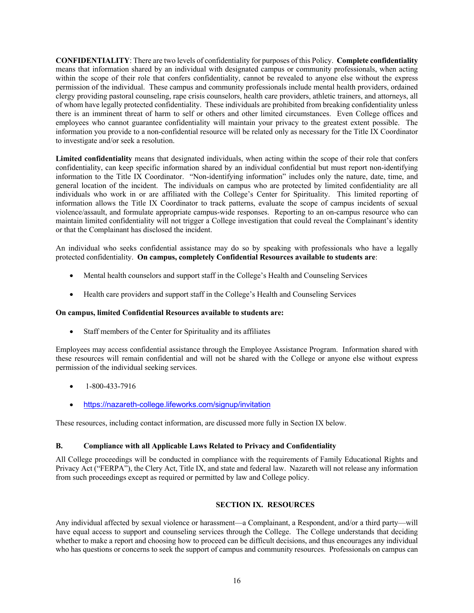**CONFIDENTIALITY**: There are two levels of confidentiality for purposes of this Policy. **Complete confidentiality** means that information shared by an individual with designated campus or community professionals, when acting within the scope of their role that confers confidentiality, cannot be revealed to anyone else without the express permission of the individual. These campus and community professionals include mental health providers, ordained clergy providing pastoral counseling, rape crisis counselors, health care providers, athletic trainers, and attorneys, all of whom have legally protected confidentiality. These individuals are prohibited from breaking confidentiality unless there is an imminent threat of harm to self or others and other limited circumstances. Even College offices and employees who cannot guarantee confidentiality will maintain your privacy to the greatest extent possible. The information you provide to a non-confidential resource will be related only as necessary for the Title IX Coordinator to investigate and/or seek a resolution.

**Limited confidentiality** means that designated individuals, when acting within the scope of their role that confers confidentiality, can keep specific information shared by an individual confidential but must report non-identifying information to the Title IX Coordinator. "Non-identifying information" includes only the nature, date, time, and general location of the incident. The individuals on campus who are protected by limited confidentiality are all individuals who work in or are affiliated with the College's Center for Spirituality. This limited reporting of information allows the Title IX Coordinator to track patterns, evaluate the scope of campus incidents of sexual violence/assault, and formulate appropriate campus-wide responses. Reporting to an on-campus resource who can maintain limited confidentiality will not trigger a College investigation that could reveal the Complainant's identity or that the Complainant has disclosed the incident.

An individual who seeks confidential assistance may do so by speaking with professionals who have a legally protected confidentiality. **On campus, completely Confidential Resources available to students are**:

- Mental health counselors and support staff in the College's Health and Counseling Services
- Health care providers and support staff in the College's Health and Counseling Services

#### **On campus, limited Confidential Resources available to students are:**

• Staff members of the Center for Spirituality and its affiliates

Employees may access confidential assistance through the Employee Assistance Program. Information shared with these resources will remain confidential and will not be shared with the College or anyone else without express permission of the individual seeking services.

- 1-800-433-7916
- https://nazareth-college.lifeworks.com/signup/invitation

These resources, including contact information, are discussed more fully in Section IX below.

#### **B. Compliance with all Applicable Laws Related to Privacy and Confidentiality**

All College proceedings will be conducted in compliance with the requirements of Family Educational Rights and Privacy Act ("FERPA"), the Clery Act, Title IX, and state and federal law. Nazareth will not release any information from such proceedings except as required or permitted by law and College policy.

#### **SECTION IX. RESOURCES**

Any individual affected by sexual violence or harassment—a Complainant, a Respondent, and/or a third party—will have equal access to support and counseling services through the College. The College understands that deciding whether to make a report and choosing how to proceed can be difficult decisions, and thus encourages any individual who has questions or concerns to seek the support of campus and community resources. Professionals on campus can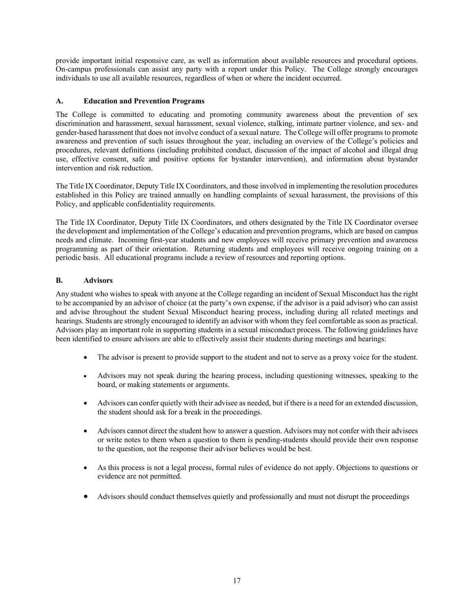provide important initial responsive care, as well as information about available resources and procedural options. On-campus professionals can assist any party with a report under this Policy. The College strongly encourages individuals to use all available resources, regardless of when or where the incident occurred.

#### **A. Education and Prevention Programs**

The College is committed to educating and promoting community awareness about the prevention of sex discrimination and harassment, sexual harassment, sexual violence, stalking, intimate partner violence, and sex- and gender-based harassment that does not involve conduct of a sexual nature. The College will offer programs to promote awareness and prevention of such issues throughout the year, including an overview of the College's policies and procedures, relevant definitions (including prohibited conduct, discussion of the impact of alcohol and illegal drug use, effective consent, safe and positive options for bystander intervention), and information about bystander intervention and risk reduction.

The Title IX Coordinator, Deputy Title IX Coordinators, and those involved in implementing the resolution procedures established in this Policy are trained annually on handling complaints of sexual harassment, the provisions of this Policy, and applicable confidentiality requirements.

The Title IX Coordinator, Deputy Title IX Coordinators, and others designated by the Title IX Coordinator oversee the development and implementation of the College's education and prevention programs, which are based on campus needs and climate. Incoming first-year students and new employees will receive primary prevention and awareness programming as part of their orientation. Returning students and employees will receive ongoing training on a periodic basis. All educational programs include a review of resources and reporting options.

# **B. Advisors**

Any student who wishes to speak with anyone at the College regarding an incident of Sexual Misconduct has the right to be accompanied by an advisor of choice (at the party's own expense, if the advisor is a paid advisor) who can assist and advise throughout the student Sexual Misconduct hearing process, including during all related meetings and hearings. Students are strongly encouraged to identify an advisor with whom they feel comfortable as soon as practical. Advisors play an important role in supporting students in a sexual misconduct process. The following guidelines have been identified to ensure advisors are able to effectively assist their students during meetings and hearings:

- The advisor is present to provide support to the student and not to serve as a proxy voice for the student.
- Advisors may not speak during the hearing process, including questioning witnesses, speaking to the board, or making statements or arguments.
- Advisors can confer quietly with their advisee as needed, but if there is a need for an extended discussion, the student should ask for a break in the proceedings.
- Advisors cannot direct the student how to answer a question. Advisors may not confer with their advisees or write notes to them when a question to them is pending-students should provide their own response to the question, not the response their advisor believes would be best.
- As this process is not a legal process, formal rules of evidence do not apply. Objections to questions or evidence are not permitted.
- Advisors should conduct themselves quietly and professionally and must not disrupt the proceedings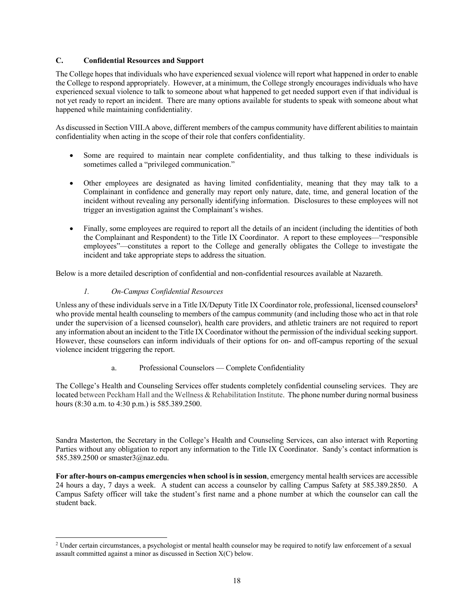# **C. Confidential Resources and Support**

The College hopes that individuals who have experienced sexual violence will report what happened in order to enable the College to respond appropriately. However, at a minimum, the College strongly encourages individuals who have experienced sexual violence to talk to someone about what happened to get needed support even if that individual is not yet ready to report an incident. There are many options available for students to speak with someone about what happened while maintaining confidentiality.

As discussed in Section VIII.A above, different members of the campus community have different abilities to maintain confidentiality when acting in the scope of their role that confers confidentiality.

- Some are required to maintain near complete confidentiality, and thus talking to these individuals is sometimes called a "privileged communication."
- Other employees are designated as having limited confidentiality, meaning that they may talk to a Complainant in confidence and generally may report only nature, date, time, and general location of the incident without revealing any personally identifying information. Disclosures to these employees will not trigger an investigation against the Complainant's wishes.
- Finally, some employees are required to report all the details of an incident (including the identities of both the Complainant and Respondent) to the Title IX Coordinator. A report to these employees—"responsible employees"—constitutes a report to the College and generally obligates the College to investigate the incident and take appropriate steps to address the situation.

Below is a more detailed description of confidential and non-confidential resources available at Nazareth.

# *1. On-Campus Confidential Resources*

Unless any of these individuals serve in a Title IX/Deputy Title IX Coordinator role, professional, licensed counselors**<sup>2</sup>** who provide mental health counseling to members of the campus community (and including those who act in that role under the supervision of a licensed counselor), health care providers, and athletic trainers are not required to report any information about an incident to the Title IX Coordinator without the permission of the individual seeking support. However, these counselors can inform individuals of their options for on- and off-campus reporting of the sexual violence incident triggering the report.

#### a. Professional Counselors — Complete Confidentiality

The College's Health and Counseling Services offer students completely confidential counseling services. They are located between Peckham Hall and the Wellness & Rehabilitation Institute. The phone number during normal business hours (8:30 a.m. to 4:30 p.m.) is 585.389.2500.

Sandra Masterton, the Secretary in the College's Health and Counseling Services, can also interact with Reporting Parties without any obligation to report any information to the Title IX Coordinator. Sandy's contact information is 585.389.2500 or smaster3@naz.edu.

**For after-hours on-campus emergencies when school is in session**, emergency mental health services are accessible 24 hours a day, 7 days a week. A student can access a counselor by calling Campus Safety at 585.389.2850. A Campus Safety officer will take the student's first name and a phone number at which the counselor can call the student back.

<sup>&</sup>lt;sup>2</sup> Under certain circumstances, a psychologist or mental health counselor may be required to notify law enforcement of a sexual assault committed against a minor as discussed in Section X(C) below.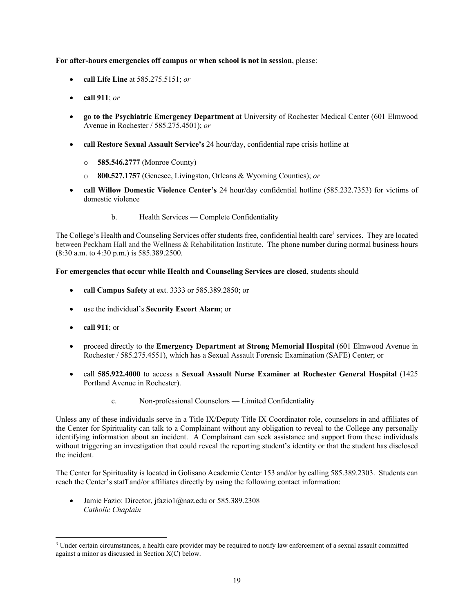#### **For after-hours emergencies off campus or when school is not in session**, please:

- **call Life Line** at 585.275.5151; *or*
- **call 911**; *or*
- **go to the Psychiatric Emergency Department** at University of Rochester Medical Center (601 Elmwood Avenue in Rochester / 585.275.4501); *or*
- **call Restore Sexual Assault Service's** 24 hour/day, confidential rape crisis hotline at
	- o **585.546.2777** (Monroe County)
	- o **800.527.1757** (Genesee, Livingston, Orleans & Wyoming Counties); *or*
- **call Willow Domestic Violence Center's** 24 hour/day confidential hotline (585.232.7353) for victims of domestic violence
	- b. Health Services Complete Confidentiality

The College's Health and Counseling Services offer students free, confidential health care<sup>3</sup> services. They are located between Peckham Hall and the Wellness & Rehabilitation Institute. The phone number during normal business hours (8:30 a.m. to 4:30 p.m.) is 585.389.2500.

**For emergencies that occur while Health and Counseling Services are closed**, students should

- **call Campus Safety** at ext. 3333 or 585.389.2850; or
- use the individual's **Security Escort Alarm**; or
- **call 911**; or
- proceed directly to the **Emergency Department at Strong Memorial Hospital** (601 Elmwood Avenue in Rochester / 585.275.4551), which has a Sexual Assault Forensic Examination (SAFE) Center; or
- call **585.922.4000** to access a **Sexual Assault Nurse Examiner at Rochester General Hospital** (1425 Portland Avenue in Rochester).
	- c. Non-professional Counselors Limited Confidentiality

Unless any of these individuals serve in a Title IX/Deputy Title IX Coordinator role, counselors in and affiliates of the Center for Spirituality can talk to a Complainant without any obligation to reveal to the College any personally identifying information about an incident. A Complainant can seek assistance and support from these individuals without triggering an investigation that could reveal the reporting student's identity or that the student has disclosed the incident.

The Center for Spirituality is located in Golisano Academic Center 153 and/or by calling 585.389.2303. Students can reach the Center's staff and/or affiliates directly by using the following contact information:

• Jamie Fazio: Director, jfazio1@naz.edu or 585.389.2308 *Catholic Chaplain*

<sup>&</sup>lt;sup>3</sup> Under certain circumstances, a health care provider may be required to notify law enforcement of a sexual assault committed against a minor as discussed in Section X(C) below.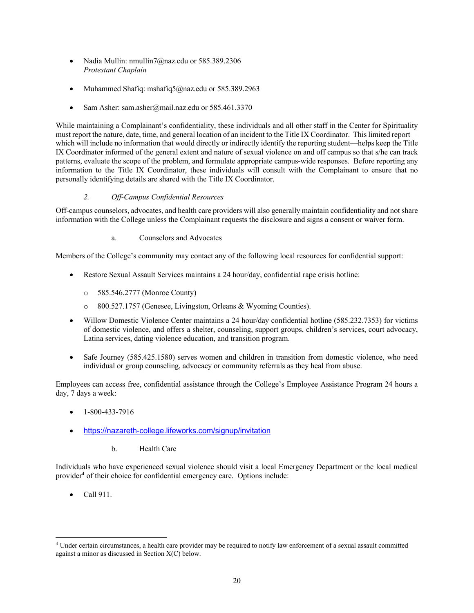- Nadia Mullin: nmullin7@naz.edu or 585.389.2306 *Protestant Chaplain*
- Muhammed Shafiq: mshafiq5@naz.edu or 585.389.2963
- Sam Asher: sam.asher@mail.naz.edu or 585.461.3370

While maintaining a Complainant's confidentiality, these individuals and all other staff in the Center for Spirituality must report the nature, date, time, and general location of an incident to the Title IX Coordinator. This limited report which will include no information that would directly or indirectly identify the reporting student—helps keep the Title IX Coordinator informed of the general extent and nature of sexual violence on and off campus so that s/he can track patterns, evaluate the scope of the problem, and formulate appropriate campus-wide responses. Before reporting any information to the Title IX Coordinator, these individuals will consult with the Complainant to ensure that no personally identifying details are shared with the Title IX Coordinator.

# *2. Off-Campus Confidential Resources*

Off-campus counselors, advocates, and health care providers will also generally maintain confidentiality and not share information with the College unless the Complainant requests the disclosure and signs a consent or waiver form.

a. Counselors and Advocates

Members of the College's community may contact any of the following local resources for confidential support:

- Restore Sexual Assault Services maintains a 24 hour/day, confidential rape crisis hotline:
	- o 585.546.2777 (Monroe County)
	- o 800.527.1757 (Genesee, Livingston, Orleans & Wyoming Counties).
- Willow Domestic Violence Center maintains a 24 hour/day confidential hotline (585.232.7353) for victims of domestic violence, and offers a shelter, counseling, support groups, children's services, court advocacy, Latina services, dating violence education, and transition program.
- Safe Journey (585.425.1580) serves women and children in transition from domestic violence, who need individual or group counseling, advocacy or community referrals as they heal from abuse.

Employees can access free, confidential assistance through the College's Employee Assistance Program 24 hours a day, 7 days a week:

- 1-800-433-7916
- https://nazareth-college.lifeworks.com/signup/invitation
	- b. Health Care

Individuals who have experienced sexual violence should visit a local Emergency Department or the local medical provider**<sup>4</sup>** of their choice for confidential emergency care. Options include:

• Call 911.

<sup>4</sup> Under certain circumstances, a health care provider may be required to notify law enforcement of a sexual assault committed against a minor as discussed in Section X(C) below.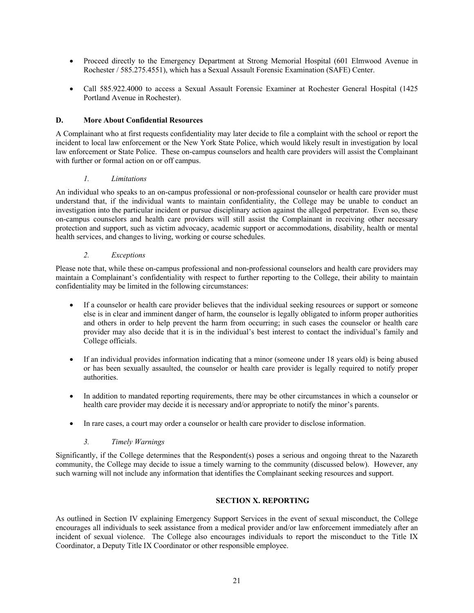- Proceed directly to the Emergency Department at Strong Memorial Hospital (601 Elmwood Avenue in Rochester / 585.275.4551), which has a Sexual Assault Forensic Examination (SAFE) Center.
- Call 585.922.4000 to access a Sexual Assault Forensic Examiner at Rochester General Hospital (1425) Portland Avenue in Rochester).

#### **D. More About Confidential Resources**

A Complainant who at first requests confidentiality may later decide to file a complaint with the school or report the incident to local law enforcement or the New York State Police, which would likely result in investigation by local law enforcement or State Police. These on-campus counselors and health care providers will assist the Complainant with further or formal action on or off campus.

# *1. Limitations*

An individual who speaks to an on-campus professional or non-professional counselor or health care provider must understand that, if the individual wants to maintain confidentiality, the College may be unable to conduct an investigation into the particular incident or pursue disciplinary action against the alleged perpetrator. Even so, these on-campus counselors and health care providers will still assist the Complainant in receiving other necessary protection and support, such as victim advocacy, academic support or accommodations, disability, health or mental health services, and changes to living, working or course schedules.

# *2. Exceptions*

Please note that, while these on-campus professional and non-professional counselors and health care providers may maintain a Complainant's confidentiality with respect to further reporting to the College, their ability to maintain confidentiality may be limited in the following circumstances:

- If a counselor or health care provider believes that the individual seeking resources or support or someone else is in clear and imminent danger of harm, the counselor is legally obligated to inform proper authorities and others in order to help prevent the harm from occurring; in such cases the counselor or health care provider may also decide that it is in the individual's best interest to contact the individual's family and College officials.
- If an individual provides information indicating that a minor (someone under 18 years old) is being abused or has been sexually assaulted, the counselor or health care provider is legally required to notify proper authorities.
- In addition to mandated reporting requirements, there may be other circumstances in which a counselor or health care provider may decide it is necessary and/or appropriate to notify the minor's parents.
- In rare cases, a court may order a counselor or health care provider to disclose information.

# *3. Timely Warnings*

Significantly, if the College determines that the Respondent(s) poses a serious and ongoing threat to the Nazareth community, the College may decide to issue a timely warning to the community (discussed below). However, any such warning will not include any information that identifies the Complainant seeking resources and support.

#### **SECTION X. REPORTING**

As outlined in Section IV explaining Emergency Support Services in the event of sexual misconduct, the College encourages all individuals to seek assistance from a medical provider and/or law enforcement immediately after an incident of sexual violence. The College also encourages individuals to report the misconduct to the Title IX Coordinator, a Deputy Title IX Coordinator or other responsible employee.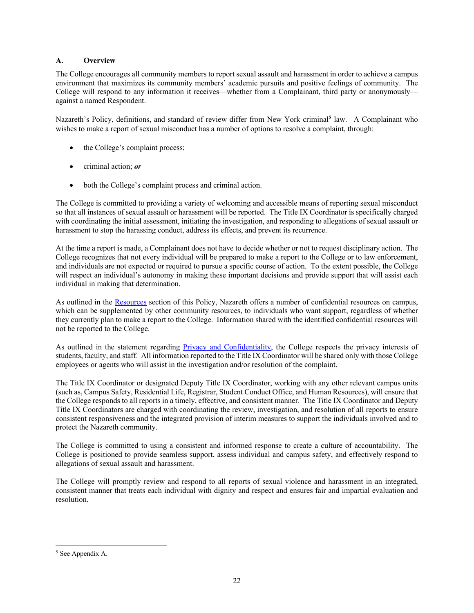# **A. Overview**

The College encourages all community members to report sexual assault and harassment in order to achieve a campus environment that maximizes its community members' academic pursuits and positive feelings of community. The College will respond to any information it receives—whether from a Complainant, third party or anonymously against a named Respondent.

Nazareth's Policy, definitions, and standard of review differ from New York criminal**<sup>5</sup>** law. A Complainant who wishes to make a report of sexual misconduct has a number of options to resolve a complaint, through:

- the College's complaint process;
- criminal action; *or*
- both the College's complaint process and criminal action.

The College is committed to providing a variety of welcoming and accessible means of reporting sexual misconduct so that all instances of sexual assault or harassment will be reported. The Title IX Coordinator is specifically charged with coordinating the initial assessment, initiating the investigation, and responding to allegations of sexual assault or harassment to stop the harassing conduct, address its effects, and prevent its recurrence.

At the time a report is made, a Complainant does not have to decide whether or not to request disciplinary action. The College recognizes that not every individual will be prepared to make a report to the College or to law enforcement, and individuals are not expected or required to pursue a specific course of action. To the extent possible, the College will respect an individual's autonomy in making these important decisions and provide support that will assist each individual in making that determination.

As outlined in the Resources section of this Policy, Nazareth offers a number of confidential resources on campus, which can be supplemented by other community resources, to individuals who want support, regardless of whether they currently plan to make a report to the College. Information shared with the identified confidential resources will not be reported to the College.

As outlined in the statement regarding Privacy and Confidentiality, the College respects the privacy interests of students, faculty, and staff. All information reported to the Title IX Coordinator will be shared only with those College employees or agents who will assist in the investigation and/or resolution of the complaint.

The Title IX Coordinator or designated Deputy Title IX Coordinator, working with any other relevant campus units (such as, Campus Safety, Residential Life, Registrar, Student Conduct Office, and Human Resources), will ensure that the College responds to all reports in a timely, effective, and consistent manner. The Title IX Coordinator and Deputy Title IX Coordinators are charged with coordinating the review, investigation, and resolution of all reports to ensure consistent responsiveness and the integrated provision of interim measures to support the individuals involved and to protect the Nazareth community.

The College is committed to using a consistent and informed response to create a culture of accountability. The College is positioned to provide seamless support, assess individual and campus safety, and effectively respond to allegations of sexual assault and harassment.

The College will promptly review and respond to all reports of sexual violence and harassment in an integrated, consistent manner that treats each individual with dignity and respect and ensures fair and impartial evaluation and resolution.

<sup>5</sup> See Appendix A.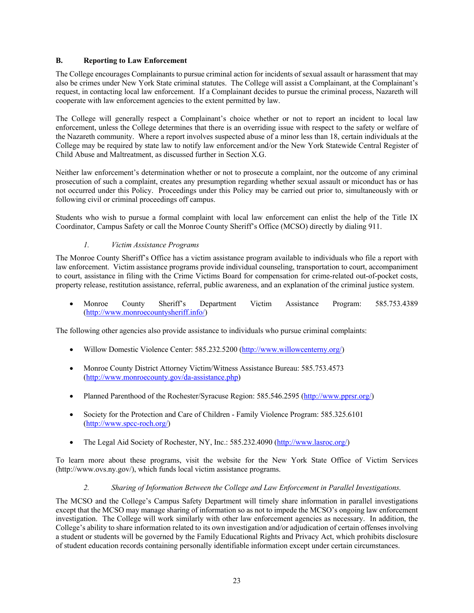# **B. Reporting to Law Enforcement**

The College encourages Complainants to pursue criminal action for incidents of sexual assault or harassment that may also be crimes under New York State criminal statutes. The College will assist a Complainant, at the Complainant's request, in contacting local law enforcement. If a Complainant decides to pursue the criminal process, Nazareth will cooperate with law enforcement agencies to the extent permitted by law.

The College will generally respect a Complainant's choice whether or not to report an incident to local law enforcement, unless the College determines that there is an overriding issue with respect to the safety or welfare of the Nazareth community. Where a report involves suspected abuse of a minor less than 18, certain individuals at the College may be required by state law to notify law enforcement and/or the New York Statewide Central Register of Child Abuse and Maltreatment, as discussed further in Section X.G.

Neither law enforcement's determination whether or not to prosecute a complaint, nor the outcome of any criminal prosecution of such a complaint, creates any presumption regarding whether sexual assault or miconduct has or has not occurred under this Policy. Proceedings under this Policy may be carried out prior to, simultaneously with or following civil or criminal proceedings off campus.

Students who wish to pursue a formal complaint with local law enforcement can enlist the help of the Title IX Coordinator, Campus Safety or call the Monroe County Sheriff's Office (MCSO) directly by dialing 911.

# *1. Victim Assistance Programs*

The Monroe County Sheriff's Office has a victim assistance program available to individuals who file a report with law enforcement. Victim assistance programs provide individual counseling, transportation to court, accompaniment to court, assistance in filing with the Crime Victims Board for compensation for crime-related out-of-pocket costs, property release, restitution assistance, referral, public awareness, and an explanation of the criminal justice system.

• Monroe County Sheriff's Department Victim Assistance Program: 585.753.4389 (http://www.monroecountysheriff.info/)

The following other agencies also provide assistance to individuals who pursue criminal complaints:

- Willow Domestic Violence Center: 585.232.5200 (http://www.willowcenterny.org/)
- Monroe County District Attorney Victim/Witness Assistance Bureau: 585.753.4573 (http://www.monroecounty.gov/da-assistance.php)
- Planned Parenthood of the Rochester/Syracuse Region: 585.546.2595 (http://www.pprsr.org/)
- Society for the Protection and Care of Children Family Violence Program: 585.325.6101 (http://www.spcc-roch.org/)
- The Legal Aid Society of Rochester, NY, Inc.: 585.232.4090 (http://www.lasroc.org/)

To learn more about these programs, visit the website for the New York State Office of Victim Services (http://www.ovs.ny.gov/), which funds local victim assistance programs.

#### *2. Sharing of Information Between the College and Law Enforcement in Parallel Investigations.*

The MCSO and the College's Campus Safety Department will timely share information in parallel investigations except that the MCSO may manage sharing of information so as not to impede the MCSO's ongoing law enforcement investigation. The College will work similarly with other law enforcement agencies as necessary. In addition, the College's ability to share information related to its own investigation and/or adjudication of certain offenses involving a student or students will be governed by the Family Educational Rights and Privacy Act, which prohibits disclosure of student education records containing personally identifiable information except under certain circumstances.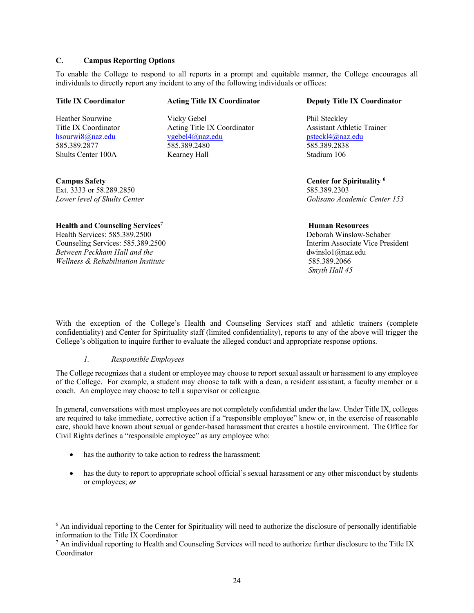# **C. Campus Reporting Options**

To enable the College to respond to all reports in a prompt and equitable manner, the College encourages all individuals to directly report any incident to any of the following individuals or offices:

| <b>Title IX Coordinator</b>                        | <b>Acting Title IX Coordinator</b> | <b>Deputy Title IX Coordinator</b>   |
|----------------------------------------------------|------------------------------------|--------------------------------------|
| Heather Sourwine                                   | Vicky Gebel                        | Phil Steckley                        |
| Title IX Coordinator                               | Acting Title IX Coordinator        | <b>Assistant Athletic Trainer</b>    |
| hsourwi8@naz.edu                                   | vgebel4@naz.edu                    | psteckl4@naz.edu                     |
| 585.389.2877                                       | 585.389.2480                       | 585.389.2838                         |
| Shults Center 100A                                 | Kearney Hall                       | Stadium 106                          |
| <b>Campus Safety</b>                               |                                    | Center for Spirituality <sup>6</sup> |
| Ext. 3333 or 58.289.2850                           |                                    | 585.389.2303                         |
| Lower level of Shults Center                       |                                    | Golisano Academic Center 153         |
| <b>Health and Counseling Services</b> <sup>7</sup> |                                    | <b>Human Resources</b>               |

Health Services: 585.389.2500 Deborah Winslow-Schaber Counseling Services: 585.389.2500 Interim Associate Vice President *Between Peckham Hall and the* dwinslo1@naz.edu *Wellness & Rehabilitation Institute* 585.389.2066

*Smyth Hall 45*

With the exception of the College's Health and Counseling Services staff and athletic trainers (complete confidentiality) and Center for Spirituality staff (limited confidentiality), reports to any of the above will trigger the College's obligation to inquire further to evaluate the alleged conduct and appropriate response options.

#### *1. Responsible Employees*

The College recognizes that a student or employee may choose to report sexual assault or harassment to any employee of the College. For example, a student may choose to talk with a dean, a resident assistant, a faculty member or a coach. An employee may choose to tell a supervisor or colleague.

In general, conversations with most employees are not completely confidential under the law. Under Title IX, colleges are required to take immediate, corrective action if a "responsible employee" knew or, in the exercise of reasonable care, should have known about sexual or gender-based harassment that creates a hostile environment. The Office for Civil Rights defines a "responsible employee" as any employee who:

- has the authority to take action to redress the harassment;
- has the duty to report to appropriate school official's sexual harassment or any other misconduct by students or employees; *or*

<sup>&</sup>lt;sup>6</sup> An individual reporting to the Center for Spirituality will need to authorize the disclosure of personally identifiable information to the Title IX Coordinator

<sup>&</sup>lt;sup>7</sup> An individual reporting to Health and Counseling Services will need to authorize further disclosure to the Title IX Coordinator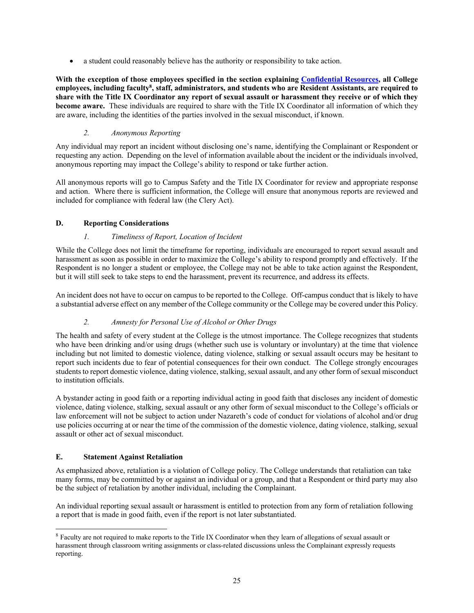• a student could reasonably believe has the authority or responsibility to take action.

**With the exception of those employees specified in the section explaining Confidential Resources, all College employees, including faculty8 , staff, administrators, and students who are Resident Assistants, are required to share with the Title IX Coordinator any report of sexual assault or harassment they receive or of which they become aware.** These individuals are required to share with the Title IX Coordinator all information of which they are aware, including the identities of the parties involved in the sexual misconduct, if known.

# *2. Anonymous Reporting*

Any individual may report an incident without disclosing one's name, identifying the Complainant or Respondent or requesting any action. Depending on the level of information available about the incident or the individuals involved, anonymous reporting may impact the College's ability to respond or take further action.

All anonymous reports will go to Campus Safety and the Title IX Coordinator for review and appropriate response and action. Where there is sufficient information, the College will ensure that anonymous reports are reviewed and included for compliance with federal law (the Clery Act).

# **D. Reporting Considerations**

# *1. Timeliness of Report, Location of Incident*

While the College does not limit the timeframe for reporting, individuals are encouraged to report sexual assault and harassment as soon as possible in order to maximize the College's ability to respond promptly and effectively. If the Respondent is no longer a student or employee, the College may not be able to take action against the Respondent, but it will still seek to take steps to end the harassment, prevent its recurrence, and address its effects.

An incident does not have to occur on campus to be reported to the College. Off-campus conduct that is likely to have a substantial adverse effect on any member of the College community or the College may be covered under this Policy.

#### *2. Amnesty for Personal Use of Alcohol or Other Drugs*

The health and safety of every student at the College is the utmost importance. The College recognizes that students who have been drinking and/or using drugs (whether such use is voluntary or involuntary) at the time that violence including but not limited to domestic violence, dating violence, stalking or sexual assault occurs may be hesitant to report such incidents due to fear of potential consequences for their own conduct. The College strongly encourages students to report domestic violence, dating violence, stalking, sexual assault, and any other form of sexual misconduct to institution officials.

A bystander acting in good faith or a reporting individual acting in good faith that discloses any incident of domestic violence, dating violence, stalking, sexual assault or any other form of sexual misconduct to the College's officials or law enforcement will not be subject to action under Nazareth's code of conduct for violations of alcohol and/or drug use policies occurring at or near the time of the commission of the domestic violence, dating violence, stalking, sexual assault or other act of sexual misconduct.

#### **E. Statement Against Retaliation**

As emphasized above, retaliation is a violation of College policy. The College understands that retaliation can take many forms, may be committed by or against an individual or a group, and that a Respondent or third party may also be the subject of retaliation by another individual, including the Complainant.

An individual reporting sexual assault or harassment is entitled to protection from any form of retaliation following a report that is made in good faith, even if the report is not later substantiated.

<sup>8</sup> Faculty are not required to make reports to the Title IX Coordinator when they learn of allegations of sexual assault or harassment through classroom writing assignments or class-related discussions unless the Complainant expressly requests reporting.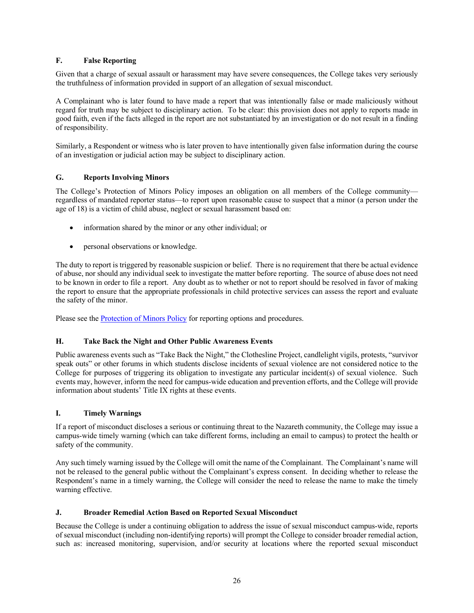# **F. False Reporting**

Given that a charge of sexual assault or harassment may have severe consequences, the College takes very seriously the truthfulness of information provided in support of an allegation of sexual misconduct.

A Complainant who is later found to have made a report that was intentionally false or made maliciously without regard for truth may be subject to disciplinary action. To be clear: this provision does not apply to reports made in good faith, even if the facts alleged in the report are not substantiated by an investigation or do not result in a finding of responsibility.

Similarly, a Respondent or witness who is later proven to have intentionally given false information during the course of an investigation or judicial action may be subject to disciplinary action.

#### **G. Reports Involving Minors**

The College's Protection of Minors Policy imposes an obligation on all members of the College community regardless of mandated reporter status—to report upon reasonable cause to suspect that a minor (a person under the age of 18) is a victim of child abuse, neglect or sexual harassment based on:

- information shared by the minor or any other individual; or
- personal observations or knowledge.

The duty to report is triggered by reasonable suspicion or belief. There is no requirement that there be actual evidence of abuse, nor should any individual seek to investigate the matter before reporting. The source of abuse does not need to be known in order to file a report. Any doubt as to whether or not to report should be resolved in favor of making the report to ensure that the appropriate professionals in child protective services can assess the report and evaluate the safety of the minor.

Please see the Protection of Minors Policy for reporting options and procedures.

#### **H. Take Back the Night and Other Public Awareness Events**

Public awareness events such as "Take Back the Night," the Clothesline Project, candlelight vigils, protests, "survivor speak outs" or other forums in which students disclose incidents of sexual violence are not considered notice to the College for purposes of triggering its obligation to investigate any particular incident(s) of sexual violence. Such events may, however, inform the need for campus-wide education and prevention efforts, and the College will provide information about students' Title IX rights at these events.

# **I. Timely Warnings**

If a report of misconduct discloses a serious or continuing threat to the Nazareth community, the College may issue a campus-wide timely warning (which can take different forms, including an email to campus) to protect the health or safety of the community.

Any such timely warning issued by the College will omit the name of the Complainant. The Complainant's name will not be released to the general public without the Complainant's express consent. In deciding whether to release the Respondent's name in a timely warning, the College will consider the need to release the name to make the timely warning effective.

#### **J. Broader Remedial Action Based on Reported Sexual Misconduct**

Because the College is under a continuing obligation to address the issue of sexual misconduct campus-wide, reports of sexual misconduct (including non-identifying reports) will prompt the College to consider broader remedial action, such as: increased monitoring, supervision, and/or security at locations where the reported sexual misconduct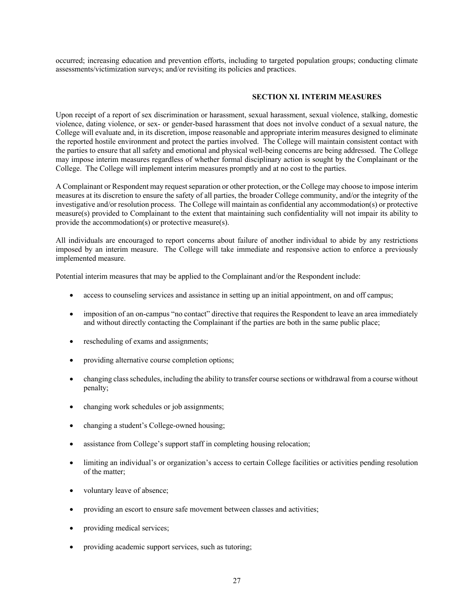occurred; increasing education and prevention efforts, including to targeted population groups; conducting climate assessments/victimization surveys; and/or revisiting its policies and practices.

#### **SECTION XI. INTERIM MEASURES**

Upon receipt of a report of sex discrimination or harassment, sexual harassment, sexual violence, stalking, domestic violence, dating violence, or sex- or gender-based harassment that does not involve conduct of a sexual nature, the College will evaluate and, in its discretion, impose reasonable and appropriate interim measures designed to eliminate the reported hostile environment and protect the parties involved. The College will maintain consistent contact with the parties to ensure that all safety and emotional and physical well-being concerns are being addressed. The College may impose interim measures regardless of whether formal disciplinary action is sought by the Complainant or the College. The College will implement interim measures promptly and at no cost to the parties.

A Complainant or Respondent may request separation or other protection, or the College may choose to impose interim measures at its discretion to ensure the safety of all parties, the broader College community, and/or the integrity of the investigative and/or resolution process. The College will maintain as confidential any accommodation(s) or protective measure(s) provided to Complainant to the extent that maintaining such confidentiality will not impair its ability to provide the accommodation(s) or protective measure(s).

All individuals are encouraged to report concerns about failure of another individual to abide by any restrictions imposed by an interim measure. The College will take immediate and responsive action to enforce a previously implemented measure.

Potential interim measures that may be applied to the Complainant and/or the Respondent include:

- access to counseling services and assistance in setting up an initial appointment, on and off campus;
- imposition of an on-campus "no contact" directive that requires the Respondent to leave an area immediately and without directly contacting the Complainant if the parties are both in the same public place;
- rescheduling of exams and assignments;
- providing alternative course completion options;
- changing class schedules, including the ability to transfer course sections or withdrawal from a course without penalty;
- changing work schedules or job assignments;
- changing a student's College-owned housing;
- assistance from College's support staff in completing housing relocation;
- limiting an individual's or organization's access to certain College facilities or activities pending resolution of the matter;
- voluntary leave of absence;
- providing an escort to ensure safe movement between classes and activities;
- providing medical services;
- providing academic support services, such as tutoring;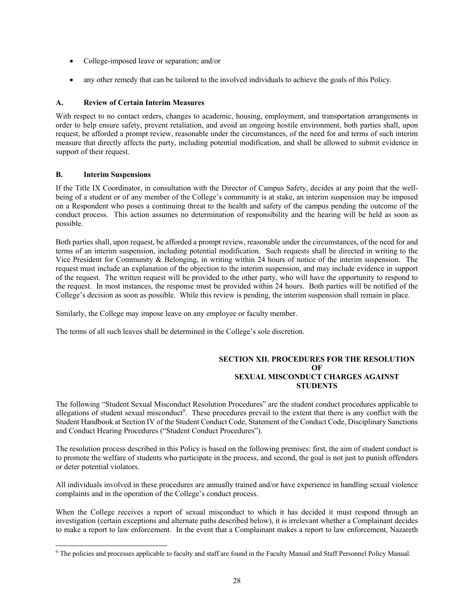- College-imposed leave or separation; and/or
- any other remedy that can be tailored to the involved individuals to achieve the goals of this Policy.

#### **A. Review of Certain Interim Measures**

With respect to no contact orders, changes to academic, housing, employment, and transportation arrangements in order to help ensure safety, prevent retaliation, and avoid an ongoing hostile environment, both parties shall, upon request, be afforded a prompt review, reasonable under the circumstances, of the need for and terms of such interim measure that directly affects the party, including potential modification, and shall be allowed to submit evidence in support of their request.

#### **B. Interim Suspensions**

If the Title IX Coordinator, in consultation with the Director of Campus Safety, decides at any point that the wellbeing of a student or of any member of the College's community is at stake, an interim suspension may be imposed on a Respondent who poses a continuing threat to the health and safety of the campus pending the outcome of the conduct process. This action assumes no determination of responsibility and the hearing will be held as soon as possible.

Both parties shall, upon request, be afforded a prompt review, reasonable under the circumstances, of the need for and terms of an interim suspension, including potential modification. Such requests shall be directed in writing to the Vice President for Community & Belonging, in writing within 24 hours of notice of the interim suspension. The request must include an explanation of the objection to the interim suspension, and may include evidence in support of the request. The written request will be provided to the other party, who will have the opportunity to respond to the request. In most instances, the response must be provided within 24 hours. Both parties will be notified of the College's decision as soon as possible. While this review is pending, the interim suspension shall remain in place.

Similarly, the College may impose leave on any employee or faculty member.

The terms of all such leaves shall be determined in the College's sole discretion.

#### **SECTION XII. PROCEDURES FOR THE RESOLUTION OF SEXUAL MISCONDUCT CHARGES AGAINST STUDENTS**

The following "Student Sexual Misconduct Resolution Procedures" are the student conduct procedures applicable to allegations of student sexual misconduct<sup>9</sup>. These procedures prevail to the extent that there is any conflict with the Student Handbook at Section IV of the Student Conduct Code, Statement of the Conduct Code, Disciplinary Sanctions and Conduct Hearing Procedures ("Student Conduct Procedures").

The resolution process described in this Policy is based on the following premises: first, the aim of student conduct is to promote the welfare of students who participate in the process, and second, the goal is not just to punish offenders or deter potential violators.

All individuals involved in these procedures are annually trained and/or have experience in handling sexual violence complaints and in the operation of the College's conduct process.

When the College receives a report of sexual misconduct to which it has decided it must respond through an investigation (certain exceptions and alternate paths described below), it is irrelevant whether a Complainant decides to make a report to law enforcement. In the event that a Complainant makes a report to law enforcement, Nazareth

<sup>9</sup> The policies and processes applicable to faculty and staff are found in the Faculty Manual and Staff Personnel Policy Manual.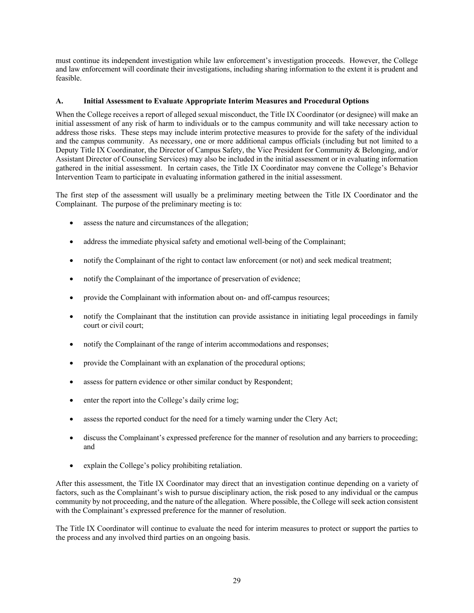must continue its independent investigation while law enforcement's investigation proceeds. However, the College and law enforcement will coordinate their investigations, including sharing information to the extent it is prudent and feasible.

# **A. Initial Assessment to Evaluate Appropriate Interim Measures and Procedural Options**

When the College receives a report of alleged sexual misconduct, the Title IX Coordinator (or designee) will make an initial assessment of any risk of harm to individuals or to the campus community and will take necessary action to address those risks. These steps may include interim protective measures to provide for the safety of the individual and the campus community. As necessary, one or more additional campus officials (including but not limited to a Deputy Title IX Coordinator, the Director of Campus Safety, the Vice President for Community & Belonging, and/or Assistant Director of Counseling Services) may also be included in the initial assessment or in evaluating information gathered in the initial assessment. In certain cases, the Title IX Coordinator may convene the College's Behavior Intervention Team to participate in evaluating information gathered in the initial assessment.

The first step of the assessment will usually be a preliminary meeting between the Title IX Coordinator and the Complainant. The purpose of the preliminary meeting is to:

- assess the nature and circumstances of the allegation:
- address the immediate physical safety and emotional well-being of the Complainant;
- notify the Complainant of the right to contact law enforcement (or not) and seek medical treatment;
- notify the Complainant of the importance of preservation of evidence;
- provide the Complainant with information about on- and off-campus resources;
- notify the Complainant that the institution can provide assistance in initiating legal proceedings in family court or civil court;
- notify the Complainant of the range of interim accommodations and responses;
- provide the Complainant with an explanation of the procedural options;
- assess for pattern evidence or other similar conduct by Respondent;
- enter the report into the College's daily crime log;
- assess the reported conduct for the need for a timely warning under the Clery Act;
- discuss the Complainant's expressed preference for the manner of resolution and any barriers to proceeding; and
- explain the College's policy prohibiting retaliation.

After this assessment, the Title IX Coordinator may direct that an investigation continue depending on a variety of factors, such as the Complainant's wish to pursue disciplinary action, the risk posed to any individual or the campus community by not proceeding, and the nature of the allegation. Where possible, the College will seek action consistent with the Complainant's expressed preference for the manner of resolution.

The Title IX Coordinator will continue to evaluate the need for interim measures to protect or support the parties to the process and any involved third parties on an ongoing basis.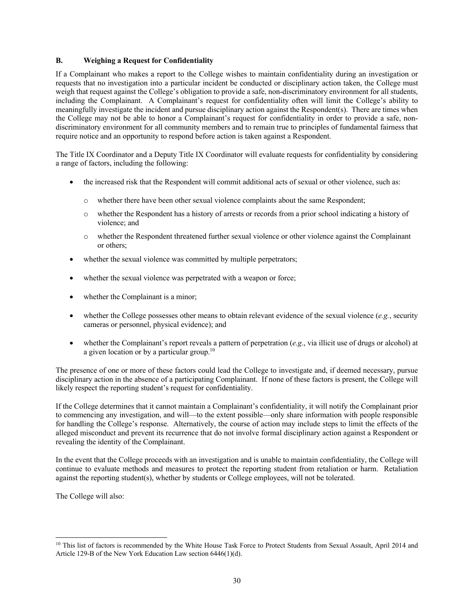#### **B. Weighing a Request for Confidentiality**

If a Complainant who makes a report to the College wishes to maintain confidentiality during an investigation or requests that no investigation into a particular incident be conducted or disciplinary action taken, the College must weigh that request against the College's obligation to provide a safe, non-discriminatory environment for all students, including the Complainant. A Complainant's request for confidentiality often will limit the College's ability to meaningfully investigate the incident and pursue disciplinary action against the Respondent(s). There are times when the College may not be able to honor a Complainant's request for confidentiality in order to provide a safe, nondiscriminatory environment for all community members and to remain true to principles of fundamental fairness that require notice and an opportunity to respond before action is taken against a Respondent.

The Title IX Coordinator and a Deputy Title IX Coordinator will evaluate requests for confidentiality by considering a range of factors, including the following:

- the increased risk that the Respondent will commit additional acts of sexual or other violence, such as:
	- o whether there have been other sexual violence complaints about the same Respondent;
	- o whether the Respondent has a history of arrests or records from a prior school indicating a history of violence; and
	- o whether the Respondent threatened further sexual violence or other violence against the Complainant or others;
- whether the sexual violence was committed by multiple perpetrators;
- whether the sexual violence was perpetrated with a weapon or force;
- whether the Complainant is a minor;
- whether the College possesses other means to obtain relevant evidence of the sexual violence (*e.g.*, security cameras or personnel, physical evidence); and
- whether the Complainant's report reveals a pattern of perpetration (*e.g*., via illicit use of drugs or alcohol) at a given location or by a particular group.<sup>10</sup>

The presence of one or more of these factors could lead the College to investigate and, if deemed necessary, pursue disciplinary action in the absence of a participating Complainant. If none of these factors is present, the College will likely respect the reporting student's request for confidentiality.

If the College determines that it cannot maintain a Complainant's confidentiality, it will notify the Complainant prior to commencing any investigation, and will—to the extent possible—only share information with people responsible for handling the College's response. Alternatively, the course of action may include steps to limit the effects of the alleged misconduct and prevent its recurrence that do not involve formal disciplinary action against a Respondent or revealing the identity of the Complainant.

In the event that the College proceeds with an investigation and is unable to maintain confidentiality, the College will continue to evaluate methods and measures to protect the reporting student from retaliation or harm. Retaliation against the reporting student(s), whether by students or College employees, will not be tolerated.

The College will also:

<sup>&</sup>lt;sup>10</sup> This list of factors is recommended by the White House Task Force to Protect Students from Sexual Assault, April 2014 and Article 129-B of the New York Education Law section 6446(1)(d).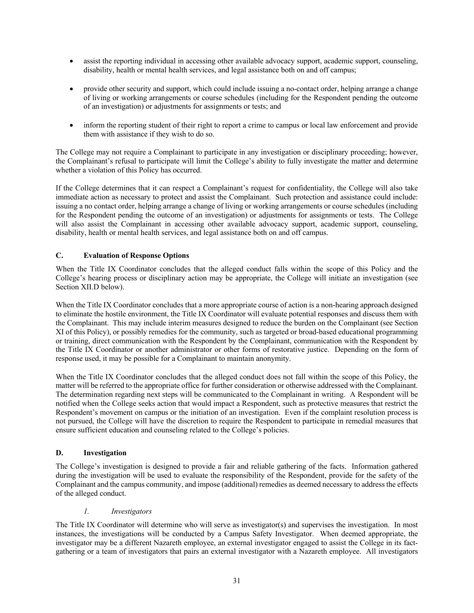- assist the reporting individual in accessing other available advocacy support, academic support, counseling, disability, health or mental health services, and legal assistance both on and off campus;
- provide other security and support, which could include issuing a no-contact order, helping arrange a change of living or working arrangements or course schedules (including for the Respondent pending the outcome of an investigation) or adjustments for assignments or tests; and
- inform the reporting student of their right to report a crime to campus or local law enforcement and provide them with assistance if they wish to do so.

The College may not require a Complainant to participate in any investigation or disciplinary proceeding; however, the Complainant's refusal to participate will limit the College's ability to fully investigate the matter and determine whether a violation of this Policy has occurred.

If the College determines that it can respect a Complainant's request for confidentiality, the College will also take immediate action as necessary to protect and assist the Complainant. Such protection and assistance could include: issuing a no contact order, helping arrange a change of living or working arrangements or course schedules (including for the Respondent pending the outcome of an investigation) or adjustments for assignments or tests. The College will also assist the Complainant in accessing other available advocacy support, academic support, counseling, disability, health or mental health services, and legal assistance both on and off campus.

# **C. Evaluation of Response Options**

When the Title IX Coordinator concludes that the alleged conduct falls within the scope of this Policy and the College's hearing process or disciplinary action may be appropriate, the College will initiate an investigation (see Section XII.D below).

When the Title IX Coordinator concludes that a more appropriate course of action is a non-hearing approach designed to eliminate the hostile environment, the Title IX Coordinator will evaluate potential responses and discuss them with the Complainant. This may include interim measures designed to reduce the burden on the Complainant (see Section XI of this Policy), or possibly remedies for the community, such as targeted or broad-based educational programming or training, direct communication with the Respondent by the Complainant, communication with the Respondent by the Title IX Coordinator or another administrator or other forms of restorative justice. Depending on the form of response used, it may be possible for a Complainant to maintain anonymity.

When the Title IX Coordinator concludes that the alleged conduct does not fall within the scope of this Policy, the matter will be referred to the appropriate office for further consideration or otherwise addressed with the Complainant. The determination regarding next steps will be communicated to the Complainant in writing. A Respondent will be notified when the College seeks action that would impact a Respondent, such as protective measures that restrict the Respondent's movement on campus or the initiation of an investigation. Even if the complaint resolution process is not pursued, the College will have the discretion to require the Respondent to participate in remedial measures that ensure sufficient education and counseling related to the College's policies.

# **D. Investigation**

The College's investigation is designed to provide a fair and reliable gathering of the facts. Information gathered during the investigation will be used to evaluate the responsibility of the Respondent, provide for the safety of the Complainant and the campus community, and impose (additional) remedies as deemed necessary to address the effects of the alleged conduct.

# *1. Investigators*

The Title IX Coordinator will determine who will serve as investigator(s) and supervises the investigation. In most instances, the investigations will be conducted by a Campus Safety Investigator. When deemed appropriate, the investigator may be a different Nazareth employee, an external investigator engaged to assist the College in its factgathering or a team of investigators that pairs an external investigator with a Nazareth employee. All investigators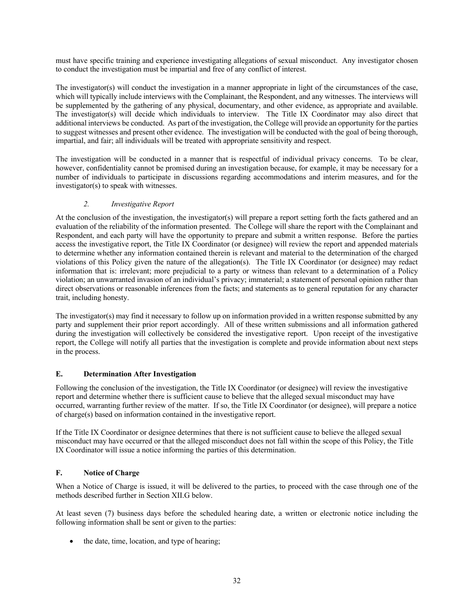must have specific training and experience investigating allegations of sexual misconduct. Any investigator chosen to conduct the investigation must be impartial and free of any conflict of interest.

The investigator(s) will conduct the investigation in a manner appropriate in light of the circumstances of the case, which will typically include interviews with the Complainant, the Respondent, and any witnesses. The interviews will be supplemented by the gathering of any physical, documentary, and other evidence, as appropriate and available. The investigator(s) will decide which individuals to interview. The Title IX Coordinator may also direct that additional interviews be conducted. As part of the investigation, the College will provide an opportunity for the parties to suggest witnesses and present other evidence. The investigation will be conducted with the goal of being thorough, impartial, and fair; all individuals will be treated with appropriate sensitivity and respect.

The investigation will be conducted in a manner that is respectful of individual privacy concerns. To be clear, however, confidentiality cannot be promised during an investigation because, for example, it may be necessary for a number of individuals to participate in discussions regarding accommodations and interim measures, and for the investigator(s) to speak with witnesses.

# *2. Investigative Report*

At the conclusion of the investigation, the investigator(s) will prepare a report setting forth the facts gathered and an evaluation of the reliability of the information presented. The College will share the report with the Complainant and Respondent, and each party will have the opportunity to prepare and submit a written response. Before the parties access the investigative report, the Title IX Coordinator (or designee) will review the report and appended materials to determine whether any information contained therein is relevant and material to the determination of the charged violations of this Policy given the nature of the allegation(s). The Title IX Coordinator (or designee) may redact information that is: irrelevant; more prejudicial to a party or witness than relevant to a determination of a Policy violation; an unwarranted invasion of an individual's privacy; immaterial; a statement of personal opinion rather than direct observations or reasonable inferences from the facts; and statements as to general reputation for any character trait, including honesty.

The investigator(s) may find it necessary to follow up on information provided in a written response submitted by any party and supplement their prior report accordingly. All of these written submissions and all information gathered during the investigation will collectively be considered the investigative report. Upon receipt of the investigative report, the College will notify all parties that the investigation is complete and provide information about next steps in the process.

# **E. Determination After Investigation**

Following the conclusion of the investigation, the Title IX Coordinator (or designee) will review the investigative report and determine whether there is sufficient cause to believe that the alleged sexual misconduct may have occurred, warranting further review of the matter. If so, the Title IX Coordinator (or designee), will prepare a notice of charge(s) based on information contained in the investigative report.

If the Title IX Coordinator or designee determines that there is not sufficient cause to believe the alleged sexual misconduct may have occurred or that the alleged misconduct does not fall within the scope of this Policy, the Title IX Coordinator will issue a notice informing the parties of this determination.

# **F. Notice of Charge**

When a Notice of Charge is issued, it will be delivered to the parties, to proceed with the case through one of the methods described further in Section XII.G below.

At least seven (7) business days before the scheduled hearing date, a written or electronic notice including the following information shall be sent or given to the parties:

the date, time, location, and type of hearing;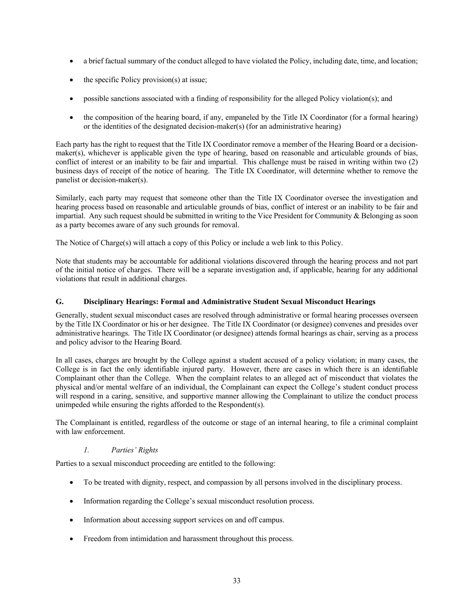- a brief factual summary of the conduct alleged to have violated the Policy, including date, time, and location;
- the specific Policy provision(s) at issue;
- possible sanctions associated with a finding of responsibility for the alleged Policy violation(s); and
- the composition of the hearing board, if any, empaneled by the Title IX Coordinator (for a formal hearing) or the identities of the designated decision-maker(s) (for an administrative hearing)

Each party has the right to request that the Title IX Coordinator remove a member of the Hearing Board or a decisionmaker(s), whichever is applicable given the type of hearing, based on reasonable and articulable grounds of bias, conflict of interest or an inability to be fair and impartial. This challenge must be raised in writing within two (2) business days of receipt of the notice of hearing. The Title IX Coordinator, will determine whether to remove the panelist or decision-maker(s).

Similarly, each party may request that someone other than the Title IX Coordinator oversee the investigation and hearing process based on reasonable and articulable grounds of bias, conflict of interest or an inability to be fair and impartial. Any such request should be submitted in writing to the Vice President for Community & Belonging as soon as a party becomes aware of any such grounds for removal.

The Notice of Charge(s) will attach a copy of this Policy or include a web link to this Policy.

Note that students may be accountable for additional violations discovered through the hearing process and not part of the initial notice of charges. There will be a separate investigation and, if applicable, hearing for any additional violations that result in additional charges.

#### **G. Disciplinary Hearings: Formal and Administrative Student Sexual Misconduct Hearings**

Generally, student sexual misconduct cases are resolved through administrative or formal hearing processes overseen by the Title IX Coordinator or his or her designee. The Title IX Coordinator (or designee) convenes and presides over administrative hearings. The Title IX Coordinator (or designee) attends formal hearings as chair, serving as a process and policy advisor to the Hearing Board.

In all cases, charges are brought by the College against a student accused of a policy violation; in many cases, the College is in fact the only identifiable injured party. However, there are cases in which there is an identifiable Complainant other than the College. When the complaint relates to an alleged act of misconduct that violates the physical and/or mental welfare of an individual, the Complainant can expect the College's student conduct process will respond in a caring, sensitive, and supportive manner allowing the Complainant to utilize the conduct process unimpeded while ensuring the rights afforded to the Respondent(s).

The Complainant is entitled, regardless of the outcome or stage of an internal hearing, to file a criminal complaint with law enforcement.

#### *1. Parties' Rights*

Parties to a sexual misconduct proceeding are entitled to the following:

- To be treated with dignity, respect, and compassion by all persons involved in the disciplinary process.
- Information regarding the College's sexual misconduct resolution process.
- Information about accessing support services on and off campus.
- Freedom from intimidation and harassment throughout this process.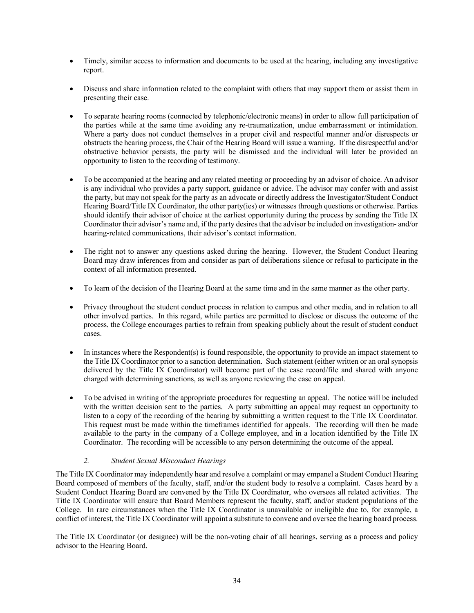- Timely, similar access to information and documents to be used at the hearing, including any investigative report.
- Discuss and share information related to the complaint with others that may support them or assist them in presenting their case.
- To separate hearing rooms (connected by telephonic/electronic means) in order to allow full participation of the parties while at the same time avoiding any re-traumatization, undue embarrassment or intimidation. Where a party does not conduct themselves in a proper civil and respectful manner and/or disrespects or obstructs the hearing process, the Chair of the Hearing Board will issue a warning. If the disrespectful and/or obstructive behavior persists, the party will be dismissed and the individual will later be provided an opportunity to listen to the recording of testimony.
- To be accompanied at the hearing and any related meeting or proceeding by an advisor of choice. An advisor is any individual who provides a party support, guidance or advice. The advisor may confer with and assist the party, but may not speak for the party as an advocate or directly address the Investigator/Student Conduct Hearing Board/Title IX Coordinator, the other party(ies) or witnesses through questions or otherwise. Parties should identify their advisor of choice at the earliest opportunity during the process by sending the Title IX Coordinator their advisor's name and, if the party desires that the advisor be included on investigation- and/or hearing-related communications, their advisor's contact information.
- The right not to answer any questions asked during the hearing. However, the Student Conduct Hearing Board may draw inferences from and consider as part of deliberations silence or refusal to participate in the context of all information presented.
- To learn of the decision of the Hearing Board at the same time and in the same manner as the other party.
- Privacy throughout the student conduct process in relation to campus and other media, and in relation to all other involved parties. In this regard, while parties are permitted to disclose or discuss the outcome of the process, the College encourages parties to refrain from speaking publicly about the result of student conduct cases.
- In instances where the Respondent(s) is found responsible, the opportunity to provide an impact statement to the Title IX Coordinator prior to a sanction determination. Such statement (either written or an oral synopsis delivered by the Title IX Coordinator) will become part of the case record/file and shared with anyone charged with determining sanctions, as well as anyone reviewing the case on appeal.
- To be advised in writing of the appropriate procedures for requesting an appeal. The notice will be included with the written decision sent to the parties. A party submitting an appeal may request an opportunity to listen to a copy of the recording of the hearing by submitting a written request to the Title IX Coordinator. This request must be made within the timeframes identified for appeals. The recording will then be made available to the party in the company of a College employee, and in a location identified by the Title IX Coordinator. The recording will be accessible to any person determining the outcome of the appeal.

# *2. Student Sexual Misconduct Hearings*

The Title IX Coordinator may independently hear and resolve a complaint or may empanel a Student Conduct Hearing Board composed of members of the faculty, staff, and/or the student body to resolve a complaint. Cases heard by a Student Conduct Hearing Board are convened by the Title IX Coordinator, who oversees all related activities. The Title IX Coordinator will ensure that Board Members represent the faculty, staff, and/or student populations of the College. In rare circumstances when the Title IX Coordinator is unavailable or ineligible due to, for example, a conflict of interest, the Title IX Coordinator will appoint a substitute to convene and oversee the hearing board process.

The Title IX Coordinator (or designee) will be the non-voting chair of all hearings, serving as a process and policy advisor to the Hearing Board.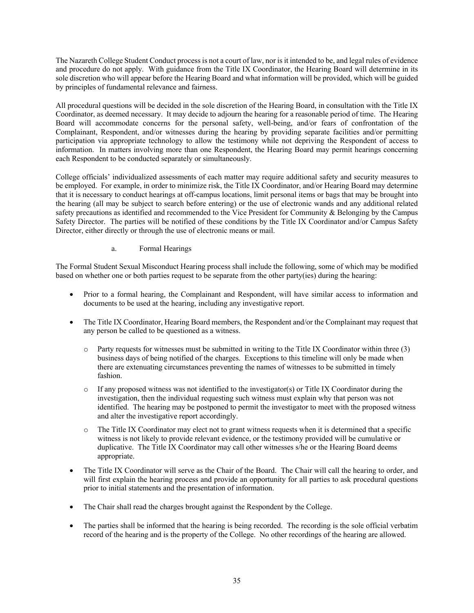The Nazareth College Student Conduct process is not a court of law, nor is it intended to be, and legal rules of evidence and procedure do not apply. With guidance from the Title IX Coordinator, the Hearing Board will determine in its sole discretion who will appear before the Hearing Board and what information will be provided, which will be guided by principles of fundamental relevance and fairness.

All procedural questions will be decided in the sole discretion of the Hearing Board, in consultation with the Title IX Coordinator, as deemed necessary. It may decide to adjourn the hearing for a reasonable period of time. The Hearing Board will accommodate concerns for the personal safety, well-being, and/or fears of confrontation of the Complainant, Respondent, and/or witnesses during the hearing by providing separate facilities and/or permitting participation via appropriate technology to allow the testimony while not depriving the Respondent of access to information. In matters involving more than one Respondent, the Hearing Board may permit hearings concerning each Respondent to be conducted separately or simultaneously.

College officials' individualized assessments of each matter may require additional safety and security measures to be employed. For example, in order to minimize risk, the Title IX Coordinator, and/or Hearing Board may determine that it is necessary to conduct hearings at off-campus locations, limit personal items or bags that may be brought into the hearing (all may be subject to search before entering) or the use of electronic wands and any additional related safety precautions as identified and recommended to the Vice President for Community & Belonging by the Campus Safety Director. The parties will be notified of these conditions by the Title IX Coordinator and/or Campus Safety Director, either directly or through the use of electronic means or mail.

# a. Formal Hearings

The Formal Student Sexual Misconduct Hearing process shall include the following, some of which may be modified based on whether one or both parties request to be separate from the other party(ies) during the hearing:

- Prior to a formal hearing, the Complainant and Respondent, will have similar access to information and documents to be used at the hearing, including any investigative report.
- The Title IX Coordinator, Hearing Board members, the Respondent and/or the Complainant may request that any person be called to be questioned as a witness.
	- o Party requests for witnesses must be submitted in writing to the Title IX Coordinator within three (3) business days of being notified of the charges. Exceptions to this timeline will only be made when there are extenuating circumstances preventing the names of witnesses to be submitted in timely fashion.
	- $\circ$  If any proposed witness was not identified to the investigator(s) or Title IX Coordinator during the investigation, then the individual requesting such witness must explain why that person was not identified. The hearing may be postponed to permit the investigator to meet with the proposed witness and alter the investigative report accordingly.
	- o The Title IX Coordinator may elect not to grant witness requests when it is determined that a specific witness is not likely to provide relevant evidence, or the testimony provided will be cumulative or duplicative. The Title IX Coordinator may call other witnesses s/he or the Hearing Board deems appropriate.
- The Title IX Coordinator will serve as the Chair of the Board. The Chair will call the hearing to order, and will first explain the hearing process and provide an opportunity for all parties to ask procedural questions prior to initial statements and the presentation of information.
- The Chair shall read the charges brought against the Respondent by the College.
- The parties shall be informed that the hearing is being recorded. The recording is the sole official verbatim record of the hearing and is the property of the College. No other recordings of the hearing are allowed.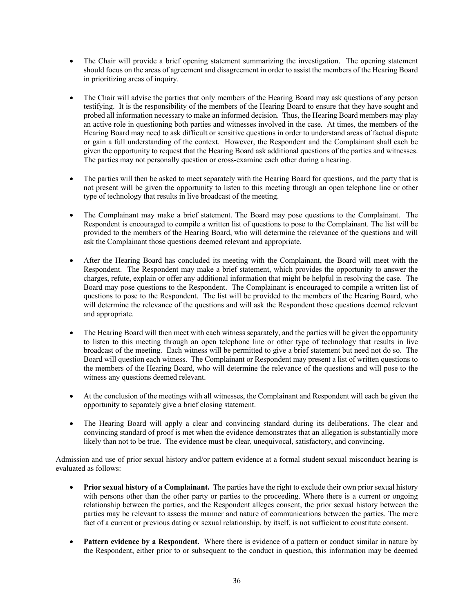- The Chair will provide a brief opening statement summarizing the investigation. The opening statement should focus on the areas of agreement and disagreement in order to assist the members of the Hearing Board in prioritizing areas of inquiry.
- The Chair will advise the parties that only members of the Hearing Board may ask questions of any person testifying. It is the responsibility of the members of the Hearing Board to ensure that they have sought and probed all information necessary to make an informed decision. Thus, the Hearing Board members may play an active role in questioning both parties and witnesses involved in the case. At times, the members of the Hearing Board may need to ask difficult or sensitive questions in order to understand areas of factual dispute or gain a full understanding of the context. However, the Respondent and the Complainant shall each be given the opportunity to request that the Hearing Board ask additional questions of the parties and witnesses. The parties may not personally question or cross-examine each other during a hearing.
- The parties will then be asked to meet separately with the Hearing Board for questions, and the party that is not present will be given the opportunity to listen to this meeting through an open telephone line or other type of technology that results in live broadcast of the meeting.
- The Complainant may make a brief statement. The Board may pose questions to the Complainant. The Respondent is encouraged to compile a written list of questions to pose to the Complainant. The list will be provided to the members of the Hearing Board, who will determine the relevance of the questions and will ask the Complainant those questions deemed relevant and appropriate.
- After the Hearing Board has concluded its meeting with the Complainant, the Board will meet with the Respondent. The Respondent may make a brief statement, which provides the opportunity to answer the charges, refute, explain or offer any additional information that might be helpful in resolving the case. The Board may pose questions to the Respondent. The Complainant is encouraged to compile a written list of questions to pose to the Respondent. The list will be provided to the members of the Hearing Board, who will determine the relevance of the questions and will ask the Respondent those questions deemed relevant and appropriate.
- The Hearing Board will then meet with each witness separately, and the parties will be given the opportunity to listen to this meeting through an open telephone line or other type of technology that results in live broadcast of the meeting. Each witness will be permitted to give a brief statement but need not do so. The Board will question each witness. The Complainant or Respondent may present a list of written questions to the members of the Hearing Board, who will determine the relevance of the questions and will pose to the witness any questions deemed relevant.
- At the conclusion of the meetings with all witnesses, the Complainant and Respondent will each be given the opportunity to separately give a brief closing statement.
- The Hearing Board will apply a clear and convincing standard during its deliberations. The clear and convincing standard of proof is met when the evidence demonstrates that an allegation is substantially more likely than not to be true. The evidence must be clear, unequivocal, satisfactory, and convincing.

Admission and use of prior sexual history and/or pattern evidence at a formal student sexual misconduct hearing is evaluated as follows:

- **Prior sexual history of a Complainant.** The parties have the right to exclude their own prior sexual history with persons other than the other party or parties to the proceeding. Where there is a current or ongoing relationship between the parties, and the Respondent alleges consent, the prior sexual history between the parties may be relevant to assess the manner and nature of communications between the parties. The mere fact of a current or previous dating or sexual relationship, by itself, is not sufficient to constitute consent.
- **Pattern evidence by a Respondent.** Where there is evidence of a pattern or conduct similar in nature by the Respondent, either prior to or subsequent to the conduct in question, this information may be deemed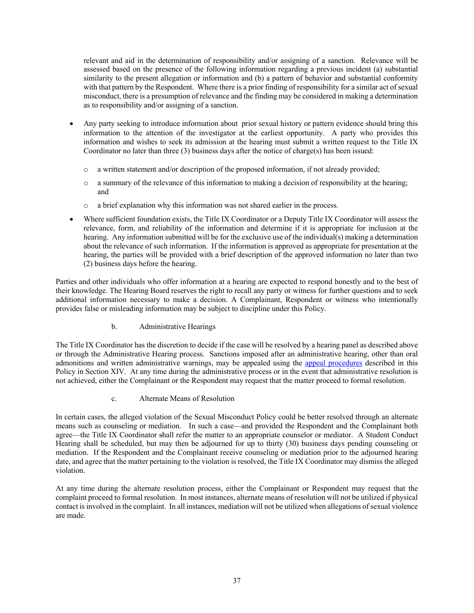relevant and aid in the determination of responsibility and/or assigning of a sanction. Relevance will be assessed based on the presence of the following information regarding a previous incident (a) substantial similarity to the present allegation or information and (b) a pattern of behavior and substantial conformity with that pattern by the Respondent. Where there is a prior finding of responsibility for a similar act of sexual misconduct, there is a presumption of relevance and the finding may be considered in making a determination as to responsibility and/or assigning of a sanction.

- Any party seeking to introduce information about prior sexual history or pattern evidence should bring this information to the attention of the investigator at the earliest opportunity. A party who provides this information and wishes to seek its admission at the hearing must submit a written request to the Title IX Coordinator no later than three (3) business days after the notice of charge(s) has been issued:
	- o a written statement and/or description of the proposed information, if not already provided;
	- o a summary of the relevance of this information to making a decision of responsibility at the hearing; and
	- o a brief explanation why this information was not shared earlier in the process.
- Where sufficient foundation exists, the Title IX Coordinator or a Deputy Title IX Coordinator will assess the relevance, form, and reliability of the information and determine if it is appropriate for inclusion at the hearing. Any information submitted will be for the exclusive use of the individual(s) making a determination about the relevance of such information. If the information is approved as appropriate for presentation at the hearing, the parties will be provided with a brief description of the approved information no later than two (2) business days before the hearing.

Parties and other individuals who offer information at a hearing are expected to respond honestly and to the best of their knowledge. The Hearing Board reserves the right to recall any party or witness for further questions and to seek additional information necessary to make a decision. A Complainant, Respondent or witness who intentionally provides false or misleading information may be subject to discipline under this Policy.

b. Administrative Hearings

The Title IX Coordinator has the discretion to decide if the case will be resolved by a hearing panel as described above or through the Administrative Hearing process. Sanctions imposed after an administrative hearing, other than oral admonitions and written administrative warnings, may be appealed using the appeal procedures described in this Policy in Section XIV. At any time during the administrative process or in the event that administrative resolution is not achieved, either the Complainant or the Respondent may request that the matter proceed to formal resolution.

c. Alternate Means of Resolution

In certain cases, the alleged violation of the Sexual Misconduct Policy could be better resolved through an alternate means such as counseling or mediation. In such a case—and provided the Respondent and the Complainant both agree—the Title IX Coordinator shall refer the matter to an appropriate counselor or mediator. A Student Conduct Hearing shall be scheduled, but may then be adjourned for up to thirty (30) business days pending counseling or mediation. If the Respondent and the Complainant receive counseling or mediation prior to the adjourned hearing date, and agree that the matter pertaining to the violation is resolved, the Title IX Coordinator may dismiss the alleged violation.

At any time during the alternate resolution process, either the Complainant or Respondent may request that the complaint proceed to formal resolution. In most instances, alternate means of resolution will not be utilized if physical contact is involved in the complaint. In all instances, mediation will not be utilized when allegations of sexual violence are made.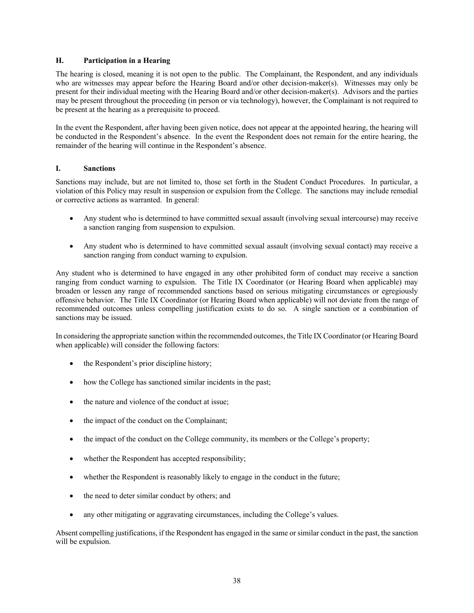#### **H. Participation in a Hearing**

The hearing is closed, meaning it is not open to the public. The Complainant, the Respondent, and any individuals who are witnesses may appear before the Hearing Board and/or other decision-maker(s). Witnesses may only be present for their individual meeting with the Hearing Board and/or other decision-maker(s). Advisors and the parties may be present throughout the proceeding (in person or via technology), however, the Complainant is not required to be present at the hearing as a prerequisite to proceed.

In the event the Respondent, after having been given notice, does not appear at the appointed hearing, the hearing will be conducted in the Respondent's absence. In the event the Respondent does not remain for the entire hearing, the remainder of the hearing will continue in the Respondent's absence.

#### **I. Sanctions**

Sanctions may include, but are not limited to, those set forth in the Student Conduct Procedures. In particular, a violation of this Policy may result in suspension or expulsion from the College. The sanctions may include remedial or corrective actions as warranted. In general:

- Any student who is determined to have committed sexual assault (involving sexual intercourse) may receive a sanction ranging from suspension to expulsion.
- Any student who is determined to have committed sexual assault (involving sexual contact) may receive a sanction ranging from conduct warning to expulsion.

Any student who is determined to have engaged in any other prohibited form of conduct may receive a sanction ranging from conduct warning to expulsion. The Title IX Coordinator (or Hearing Board when applicable) may broaden or lessen any range of recommended sanctions based on serious mitigating circumstances or egregiously offensive behavior. The Title IX Coordinator (or Hearing Board when applicable) will not deviate from the range of recommended outcomes unless compelling justification exists to do so. A single sanction or a combination of sanctions may be issued.

In considering the appropriate sanction within the recommended outcomes, the Title IX Coordinator (or Hearing Board when applicable) will consider the following factors:

- the Respondent's prior discipline history;
- how the College has sanctioned similar incidents in the past;
- the nature and violence of the conduct at issue;
- the impact of the conduct on the Complainant;
- the impact of the conduct on the College community, its members or the College's property;
- whether the Respondent has accepted responsibility;
- whether the Respondent is reasonably likely to engage in the conduct in the future;
- the need to deter similar conduct by others; and
- any other mitigating or aggravating circumstances, including the College's values.

Absent compelling justifications, if the Respondent has engaged in the same or similar conduct in the past, the sanction will be expulsion.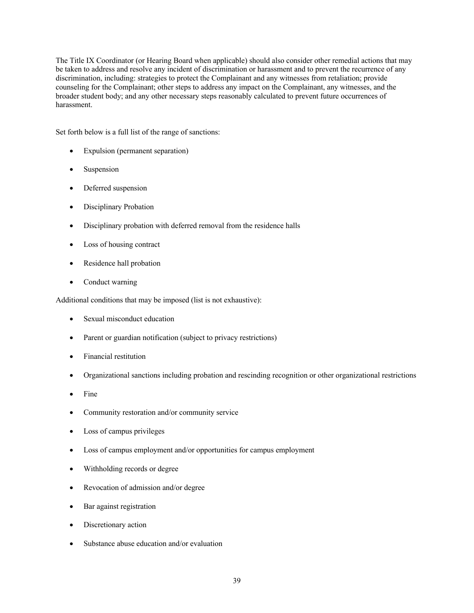The Title IX Coordinator (or Hearing Board when applicable) should also consider other remedial actions that may be taken to address and resolve any incident of discrimination or harassment and to prevent the recurrence of any discrimination, including: strategies to protect the Complainant and any witnesses from retaliation; provide counseling for the Complainant; other steps to address any impact on the Complainant, any witnesses, and the broader student body; and any other necessary steps reasonably calculated to prevent future occurrences of harassment.

Set forth below is a full list of the range of sanctions:

- Expulsion (permanent separation)
- **Suspension**
- Deferred suspension
- Disciplinary Probation
- Disciplinary probation with deferred removal from the residence halls
- Loss of housing contract
- Residence hall probation
- Conduct warning

Additional conditions that may be imposed (list is not exhaustive):

- Sexual misconduct education
- Parent or guardian notification (subject to privacy restrictions)
- Financial restitution
- Organizational sanctions including probation and rescinding recognition or other organizational restrictions
- Fine
- Community restoration and/or community service
- Loss of campus privileges
- Loss of campus employment and/or opportunities for campus employment
- Withholding records or degree
- Revocation of admission and/or degree
- Bar against registration
- Discretionary action
- Substance abuse education and/or evaluation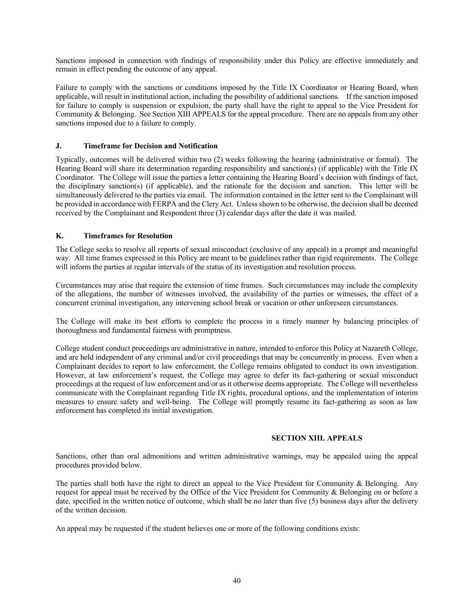Sanctions imposed in connection with findings of responsibility under this Policy are effective immediately and remain in effect pending the outcome of any appeal.

Failure to comply with the sanctions or conditions imposed by the Title IX Coordinator or Hearing Board, when applicable, will result in institutional action, including the possibility of additional sanctions. If the sanction imposed for failure to comply is suspension or expulsion, the party shall have the right to appeal to the Vice President for Community & Belonging. See Section XIII APPEALS for the appeal procedure. There are no appeals from any other sanctions imposed due to a failure to comply.

#### **J. Timeframe for Decision and Notification**

Typically, outcomes will be delivered within two (2) weeks following the hearing (administrative or formal). The Hearing Board will share its determination regarding responsibility and sanction(s) (if applicable) with the Title IX Coordinator. The College will issue the parties a letter containing the Hearing Board's decision with findings of fact, the disciplinary sanction(s) (if applicable), and the rationale for the decision and sanction. This letter will be simultaneously delivered to the parties via email. The information contained in the letter sent to the Complainant will be provided in accordance with FERPA and the Clery Act. Unless shown to be otherwise, the decision shall be deemed received by the Complainant and Respondent three (3) calendar days after the date it was mailed.

#### **K. Timeframes for Resolution**

The College seeks to resolve all reports of sexual misconduct (exclusive of any appeal) in a prompt and meaningful way. All time frames expressed in this Policy are meant to be guidelines rather than rigid requirements. The College will inform the parties at regular intervals of the status of its investigation and resolution process.

Circumstances may arise that require the extension of time frames. Such circumstances may include the complexity of the allegations, the number of witnesses involved, the availability of the parties or witnesses, the effect of a concurrent criminal investigation, any intervening school break or vacation or other unforeseen circumstances.

The College will make its best efforts to complete the process in a timely manner by balancing principles of thoroughness and fundamental fairness with promptness.

College student conduct proceedings are administrative in nature, intended to enforce this Policy at Nazareth College, and are held independent of any criminal and/or civil proceedings that may be concurrently in process. Even when a Complainant decides to report to law enforcement, the College remains obligated to conduct its own investigation. However, at law enforcement's request, the College may agree to defer its fact-gathering or sexual misconduct proceedings at the request of law enforcement and/or as it otherwise deems appropriate. The College will nevertheless communicate with the Complainant regarding Title IX rights, procedural options, and the implementation of interim measures to ensure safety and well-being. The College will promptly resume its fact-gathering as soon as law enforcement has completed its initial investigation.

#### **SECTION XIII. APPEALS**

Sanctions, other than oral admonitions and written administrative warnings, may be appealed using the appeal procedures provided below.

The parties shall both have the right to direct an appeal to the Vice President for Community & Belonging. Any request for appeal must be received by the Office of the Vice President for Community & Belonging on or before a date, specified in the written notice of outcome, which shall be no later than five (5) business days after the delivery of the written decision.

An appeal may be requested if the student believes one or more of the following conditions exists: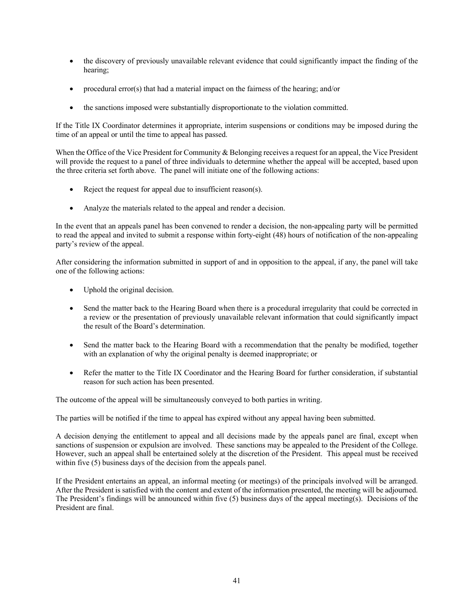- the discovery of previously unavailable relevant evidence that could significantly impact the finding of the hearing;
- procedural error(s) that had a material impact on the fairness of the hearing; and/or
- the sanctions imposed were substantially disproportionate to the violation committed.

If the Title IX Coordinator determines it appropriate, interim suspensions or conditions may be imposed during the time of an appeal or until the time to appeal has passed.

When the Office of the Vice President for Community & Belonging receives a request for an appeal, the Vice President will provide the request to a panel of three individuals to determine whether the appeal will be accepted, based upon the three criteria set forth above. The panel will initiate one of the following actions:

- Reject the request for appeal due to insufficient reason(s).
- Analyze the materials related to the appeal and render a decision.

In the event that an appeals panel has been convened to render a decision, the non-appealing party will be permitted to read the appeal and invited to submit a response within forty-eight (48) hours of notification of the non-appealing party's review of the appeal.

After considering the information submitted in support of and in opposition to the appeal, if any, the panel will take one of the following actions:

- Uphold the original decision.
- Send the matter back to the Hearing Board when there is a procedural irregularity that could be corrected in a review or the presentation of previously unavailable relevant information that could significantly impact the result of the Board's determination.
- Send the matter back to the Hearing Board with a recommendation that the penalty be modified, together with an explanation of why the original penalty is deemed inappropriate; or
- Refer the matter to the Title IX Coordinator and the Hearing Board for further consideration, if substantial reason for such action has been presented.

The outcome of the appeal will be simultaneously conveyed to both parties in writing.

The parties will be notified if the time to appeal has expired without any appeal having been submitted.

A decision denying the entitlement to appeal and all decisions made by the appeals panel are final, except when sanctions of suspension or expulsion are involved. These sanctions may be appealed to the President of the College. However, such an appeal shall be entertained solely at the discretion of the President. This appeal must be received within five (5) business days of the decision from the appeals panel.

If the President entertains an appeal, an informal meeting (or meetings) of the principals involved will be arranged. After the President is satisfied with the content and extent of the information presented, the meeting will be adjourned. The President's findings will be announced within five (5) business days of the appeal meeting(s). Decisions of the President are final.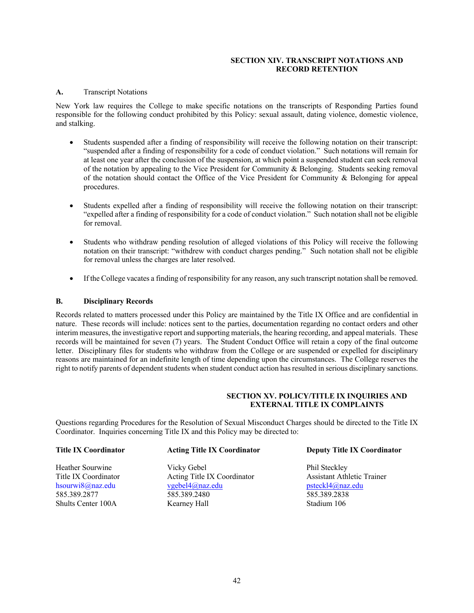#### **SECTION XIV. TRANSCRIPT NOTATIONS AND RECORD RETENTION**

#### **A.** Transcript Notations

New York law requires the College to make specific notations on the transcripts of Responding Parties found responsible for the following conduct prohibited by this Policy: sexual assault, dating violence, domestic violence, and stalking.

- Students suspended after a finding of responsibility will receive the following notation on their transcript: "suspended after a finding of responsibility for a code of conduct violation." Such notations will remain for at least one year after the conclusion of the suspension, at which point a suspended student can seek removal of the notation by appealing to the Vice President for Community & Belonging. Students seeking removal of the notation should contact the Office of the Vice President for Community & Belonging for appeal procedures.
- Students expelled after a finding of responsibility will receive the following notation on their transcript: "expelled after a finding of responsibility for a code of conduct violation." Such notation shall not be eligible for removal.
- Students who withdraw pending resolution of alleged violations of this Policy will receive the following notation on their transcript: "withdrew with conduct charges pending." Such notation shall not be eligible for removal unless the charges are later resolved.
- If the College vacates a finding of responsibility for any reason, any such transcript notation shall be removed.

#### **B. Disciplinary Records**

Records related to matters processed under this Policy are maintained by the Title IX Office and are confidential in nature. These records will include: notices sent to the parties, documentation regarding no contact orders and other interim measures, the investigative report and supporting materials, the hearing recording, and appeal materials. These records will be maintained for seven (7) years. The Student Conduct Office will retain a copy of the final outcome letter. Disciplinary files for students who withdraw from the College or are suspended or expelled for disciplinary reasons are maintained for an indefinite length of time depending upon the circumstances. The College reserves the right to notify parents of dependent students when student conduct action has resulted in serious disciplinary sanctions.

# **SECTION XV. POLICY/TITLE IX INQUIRIES AND EXTERNAL TITLE IX COMPLAINTS**

Questions regarding Procedures for the Resolution of Sexual Misconduct Charges should be directed to the Title IX Coordinator. Inquiries concerning Title IX and this Policy may be directed to:

| <b>Title IX Coordinator</b> | <b>Acting Title IX Coordinator</b> | <b>Deputy Title IX Coordinator</b> |  |
|-----------------------------|------------------------------------|------------------------------------|--|
| Heather Sourwine            | Vicky Gebel                        | Phil Steckley                      |  |
| Title IX Coordinator        | Acting Title IX Coordinator        | <b>Assistant Athletic Trainer</b>  |  |
| hsourwi8@naz.edu            | $v$ gebel $4$ @naz.edu             | psteckl4@naz.edu                   |  |
| 585.389.2877                | 585.389.2480                       | 585.389.2838                       |  |
| Shults Center 100A          | Kearney Hall                       | Stadium 106                        |  |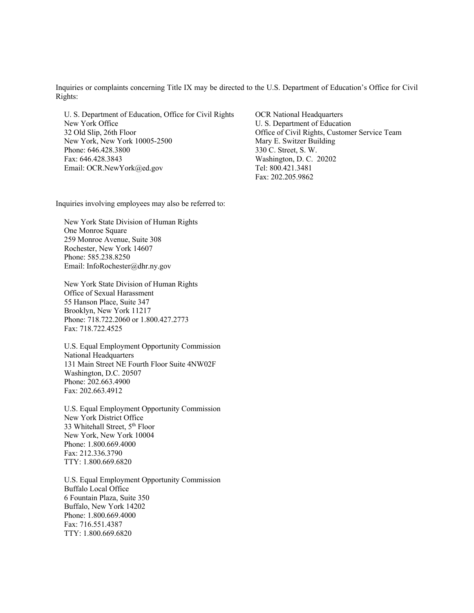Inquiries or complaints concerning Title IX may be directed to the U.S. Department of Education's Office for Civil Rights:

U. S. Department of Education, Office for Civil Rights OCR National Headquarters<br>New York Office U. S. Department of Education 32 Old Slip, 26th Floor Office of Civil Rights, Customer Service Team New York, New York 10005-2500 Mary E. Switzer Building Phone: 646.428.3800 330 C. Street, S. W. Fax: 646.428.3843 Washington, D. C. 20202 Email: OCR.NewYork@ed.gov Tel: 800.421.3481

U. S. Department of Education Fax: 202.205.9862

Inquiries involving employees may also be referred to:

New York State Division of Human Rights One Monroe Square 259 Monroe Avenue, Suite 308 Rochester, New York 14607 Phone: 585.238.8250 Email: InfoRochester@dhr.ny.gov

New York State Division of Human Rights Office of Sexual Harassment 55 Hanson Place, Suite 347 Brooklyn, New York 11217 Phone: 718.722.2060 or 1.800.427.2773 Fax: 718.722.4525

U.S. Equal Employment Opportunity Commission National Headquarters 131 Main Street NE Fourth Floor Suite 4NW02F Washington, D.C. 20507 Phone: 202.663.4900 Fax: 202.663.4912

U.S. Equal Employment Opportunity Commission New York District Office 33 Whitehall Street, 5<sup>th</sup> Floor New York, New York 10004 Phone: 1.800.669.4000 Fax: 212.336.3790 TTY: 1.800.669.6820

U.S. Equal Employment Opportunity Commission Buffalo Local Office 6 Fountain Plaza, Suite 350 Buffalo, New York 14202 Phone: 1.800.669.4000 Fax: 716.551.4387 TTY: 1.800.669.6820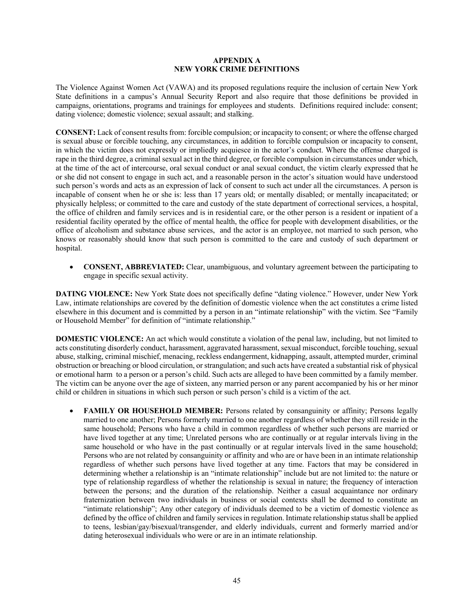#### **APPENDIX A NEW YORK CRIME DEFINITIONS**

The Violence Against Women Act (VAWA) and its proposed regulations require the inclusion of certain New York State definitions in a campus's Annual Security Report and also require that those definitions be provided in campaigns, orientations, programs and trainings for employees and students. Definitions required include: consent; dating violence; domestic violence; sexual assault; and stalking.

**CONSENT:** Lack of consent results from: forcible compulsion; or incapacity to consent; or where the offense charged is sexual abuse or forcible touching, any circumstances, in addition to forcible compulsion or incapacity to consent, in which the victim does not expressly or impliedly acquiesce in the actor's conduct. Where the offense charged is rape in the third degree, a criminal sexual act in the third degree, or forcible compulsion in circumstances under which, at the time of the act of intercourse, oral sexual conduct or anal sexual conduct, the victim clearly expressed that he or she did not consent to engage in such act, and a reasonable person in the actor's situation would have understood such person's words and acts as an expression of lack of consent to such act under all the circumstances. A person is incapable of consent when he or she is: less than 17 years old; or mentally disabled; or mentally incapacitated; or physically helpless; or committed to the care and custody of the state department of correctional services, a hospital, the office of children and family services and is in residential care, or the other person is a resident or inpatient of a residential facility operated by the office of mental health, the office for people with development disabilities, or the office of alcoholism and substance abuse services, and the actor is an employee, not married to such person, who knows or reasonably should know that such person is committed to the care and custody of such department or hospital.

• **CONSENT, ABBREVIATED:** Clear, unambiguous, and voluntary agreement between the participating to engage in specific sexual activity.

**DATING VIOLENCE:** New York State does not specifically define "dating violence." However, under New York Law, intimate relationships are covered by the definition of domestic violence when the act constitutes a crime listed elsewhere in this document and is committed by a person in an "intimate relationship" with the victim. See "Family or Household Member" for definition of "intimate relationship."

**DOMESTIC VIOLENCE:** An act which would constitute a violation of the penal law, including, but not limited to acts constituting disorderly conduct, harassment, aggravated harassment, sexual misconduct, forcible touching, sexual abuse, stalking, criminal mischief, menacing, reckless endangerment, kidnapping, assault, attempted murder, criminal obstruction or breaching or blood circulation, or strangulation; and such acts have created a substantial risk of physical or emotional harm to a person or a person's child. Such acts are alleged to have been committed by a family member. The victim can be anyone over the age of sixteen, any married person or any parent accompanied by his or her minor child or children in situations in which such person or such person's child is a victim of the act.

**FAMILY OR HOUSEHOLD MEMBER:** Persons related by consanguinity or affinity; Persons legally married to one another; Persons formerly married to one another regardless of whether they still reside in the same household; Persons who have a child in common regardless of whether such persons are married or have lived together at any time; Unrelated persons who are continually or at regular intervals living in the same household or who have in the past continually or at regular intervals lived in the same household; Persons who are not related by consanguinity or affinity and who are or have been in an intimate relationship regardless of whether such persons have lived together at any time. Factors that may be considered in determining whether a relationship is an "intimate relationship" include but are not limited to: the nature or type of relationship regardless of whether the relationship is sexual in nature; the frequency of interaction between the persons; and the duration of the relationship. Neither a casual acquaintance nor ordinary fraternization between two individuals in business or social contexts shall be deemed to constitute an "intimate relationship"; Any other category of individuals deemed to be a victim of domestic violence as defined by the office of children and family services in regulation. Intimate relationship status shall be applied to teens, lesbian/gay/bisexual/transgender, and elderly individuals, current and formerly married and/or dating heterosexual individuals who were or are in an intimate relationship.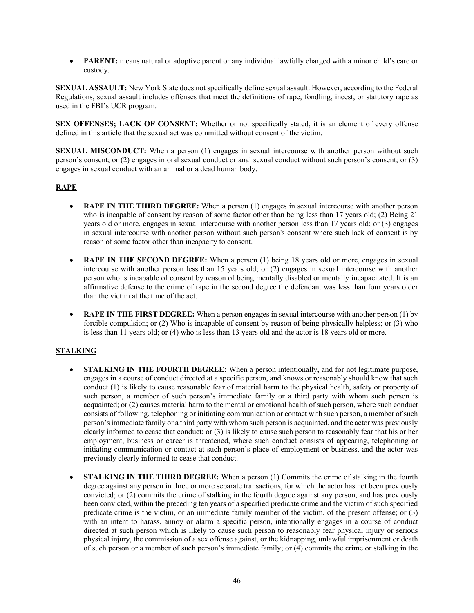• **PARENT:** means natural or adoptive parent or any individual lawfully charged with a minor child's care or custody.

**SEXUAL ASSAULT:** New York State does not specifically define sexual assault. However, according to the Federal Regulations, sexual assault includes offenses that meet the definitions of rape, fondling, incest, or statutory rape as used in the FBI's UCR program.

**SEX OFFENSES; LACK OF CONSENT:** Whether or not specifically stated, it is an element of every offense defined in this article that the sexual act was committed without consent of the victim.

**SEXUAL MISCONDUCT:** When a person (1) engages in sexual intercourse with another person without such person's consent; or (2) engages in oral sexual conduct or anal sexual conduct without such person's consent; or (3) engages in sexual conduct with an animal or a dead human body.

# **RAPE**

- **RAPE IN THE THIRD DEGREE:** When a person (1) engages in sexual intercourse with another person who is incapable of consent by reason of some factor other than being less than 17 years old; (2) Being 21 years old or more, engages in sexual intercourse with another person less than 17 years old; or (3) engages in sexual intercourse with another person without such person's consent where such lack of consent is by reason of some factor other than incapacity to consent.
- **RAPE IN THE SECOND DEGREE:** When a person (1) being 18 years old or more, engages in sexual intercourse with another person less than 15 years old; or (2) engages in sexual intercourse with another person who is incapable of consent by reason of being mentally disabled or mentally incapacitated. It is an affirmative defense to the crime of rape in the second degree the defendant was less than four years older than the victim at the time of the act.
- **RAPE IN THE FIRST DEGREE:** When a person engages in sexual intercourse with another person (1) by forcible compulsion; or (2) Who is incapable of consent by reason of being physically helpless; or (3) who is less than 11 years old; or (4) who is less than 13 years old and the actor is 18 years old or more.

#### **STALKING**

- **STALKING IN THE FOURTH DEGREE:** When a person intentionally, and for not legitimate purpose, engages in a course of conduct directed at a specific person, and knows or reasonably should know that such conduct (1) is likely to cause reasonable fear of material harm to the physical health, safety or property of such person, a member of such person's immediate family or a third party with whom such person is acquainted; or (2) causes material harm to the mental or emotional health of such person, where such conduct consists of following, telephoning or initiating communication or contact with such person, a member of such person's immediate family or a third party with whom such person is acquainted, and the actor was previously clearly informed to cease that conduct; or (3) is likely to cause such person to reasonably fear that his or her employment, business or career is threatened, where such conduct consists of appearing, telephoning or initiating communication or contact at such person's place of employment or business, and the actor was previously clearly informed to cease that conduct.
- **STALKING IN THE THIRD DEGREE:** When a person (1) Commits the crime of stalking in the fourth degree against any person in three or more separate transactions, for which the actor has not been previously convicted; or (2) commits the crime of stalking in the fourth degree against any person, and has previously been convicted, within the preceding ten years of a specified predicate crime and the victim of such specified predicate crime is the victim, or an immediate family member of the victim, of the present offense; or (3) with an intent to harass, annoy or alarm a specific person, intentionally engages in a course of conduct directed at such person which is likely to cause such person to reasonably fear physical injury or serious physical injury, the commission of a sex offense against, or the kidnapping, unlawful imprisonment or death of such person or a member of such person's immediate family; or (4) commits the crime or stalking in the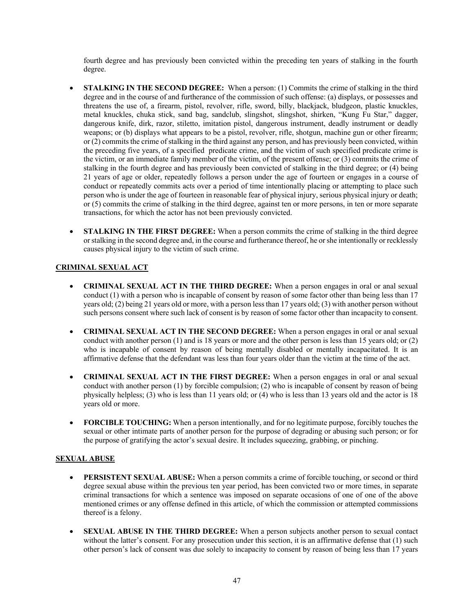fourth degree and has previously been convicted within the preceding ten years of stalking in the fourth degree.

- **STALKING IN THE SECOND DEGREE:** When a person: (1) Commits the crime of stalking in the third degree and in the course of and furtherance of the commission of such offense: (a) displays, or possesses and threatens the use of, a firearm, pistol, revolver, rifle, sword, billy, blackjack, bludgeon, plastic knuckles, metal knuckles, chuka stick, sand bag, sandclub, slingshot, slingshot, shirken, "Kung Fu Star," dagger, dangerous knife, dirk, razor, stiletto, imitation pistol, dangerous instrument, deadly instrument or deadly weapons; or (b) displays what appears to be a pistol, revolver, rifle, shotgun, machine gun or other firearm; or (2) commits the crime of stalking in the third against any person, and has previously been convicted, within the preceding five years, of a specified predicate crime, and the victim of such specified predicate crime is the victim, or an immediate family member of the victim, of the present offense; or (3) commits the crime of stalking in the fourth degree and has previously been convicted of stalking in the third degree; or (4) being 21 years of age or older, repeatedly follows a person under the age of fourteen or engages in a course of conduct or repeatedly commits acts over a period of time intentionally placing or attempting to place such person who is under the age of fourteen in reasonable fear of physical injury, serious physical injury or death; or (5) commits the crime of stalking in the third degree, against ten or more persons, in ten or more separate transactions, for which the actor has not been previously convicted.
- **STALKING IN THE FIRST DEGREE:** When a person commits the crime of stalking in the third degree or stalking in the second degree and, in the course and furtherance thereof, he or she intentionally or recklessly causes physical injury to the victim of such crime.

# **CRIMINAL SEXUAL ACT**

- **CRIMINAL SEXUAL ACT IN THE THIRD DEGREE:** When a person engages in oral or anal sexual conduct (1) with a person who is incapable of consent by reason of some factor other than being less than 17 years old; (2) being 21 years old or more, with a person less than 17 years old; (3) with another person without such persons consent where such lack of consent is by reason of some factor other than incapacity to consent.
- **CRIMINAL SEXUAL ACT IN THE SECOND DEGREE:** When a person engages in oral or anal sexual conduct with another person (1) and is 18 years or more and the other person is less than 15 years old; or (2) who is incapable of consent by reason of being mentally disabled or mentally incapacitated. It is an affirmative defense that the defendant was less than four years older than the victim at the time of the act.
- **CRIMINAL SEXUAL ACT IN THE FIRST DEGREE:** When a person engages in oral or anal sexual conduct with another person (1) by forcible compulsion; (2) who is incapable of consent by reason of being physically helpless; (3) who is less than 11 years old; or (4) who is less than 13 years old and the actor is 18 years old or more.
- **FORCIBLE TOUCHING:** When a person intentionally, and for no legitimate purpose, forcibly touches the sexual or other intimate parts of another person for the purpose of degrading or abusing such person; or for the purpose of gratifying the actor's sexual desire. It includes squeezing, grabbing, or pinching.

# **SEXUAL ABUSE**

- **PERSISTENT SEXUAL ABUSE:** When a person commits a crime of forcible touching, or second or third degree sexual abuse within the previous ten year period, has been convicted two or more times, in separate criminal transactions for which a sentence was imposed on separate occasions of one of one of the above mentioned crimes or any offense defined in this article, of which the commission or attempted commissions thereof is a felony.
- **SEXUAL ABUSE IN THE THIRD DEGREE:** When a person subjects another person to sexual contact without the latter's consent. For any prosecution under this section, it is an affirmative defense that (1) such other person's lack of consent was due solely to incapacity to consent by reason of being less than 17 years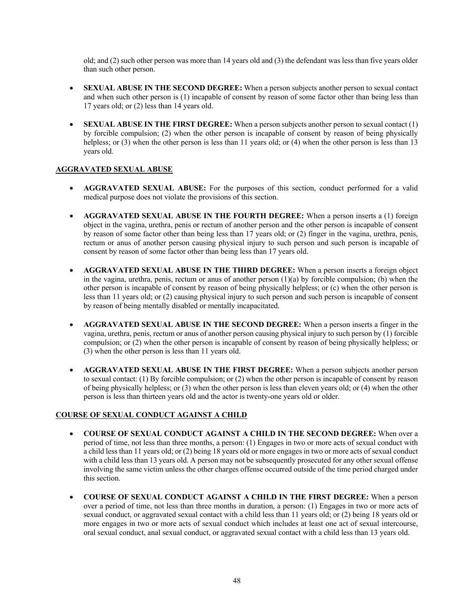old; and (2) such other person was more than 14 years old and (3) the defendant was less than five years older than such other person.

- **SEXUAL ABUSE IN THE SECOND DEGREE:** When a person subjects another person to sexual contact and when such other person is (1) incapable of consent by reason of some factor other than being less than 17 years old; or (2) less than 14 years old.
- **SEXUAL ABUSE IN THE FIRST DEGREE:** When a person subjects another person to sexual contact (1) by forcible compulsion; (2) when the other person is incapable of consent by reason of being physically helpless; or (3) when the other person is less than 11 years old; or (4) when the other person is less than 13 years old.

# **AGGRAVATED SEXUAL ABUSE**

- **AGGRAVATED SEXUAL ABUSE:** For the purposes of this section, conduct performed for a valid medical purpose does not violate the provisions of this section.
- **AGGRAVATED SEXUAL ABUSE IN THE FOURTH DEGREE:** When a person inserts a (1) foreign object in the vagina, urethra, penis or rectum of another person and the other person is incapable of consent by reason of some factor other than being less than 17 years old; or (2) finger in the vagina, urethra, penis, rectum or anus of another person causing physical injury to such person and such person is incapable of consent by reason of some factor other than being less than 17 years old.
- **AGGRAVATED SEXUAL ABUSE IN THE THIRD DEGREE:** When a person inserts a foreign object in the vagina, urethra, penis, rectum or anus of another person  $(1)(a)$  by forcible compulsion; (b) when the other person is incapable of consent by reason of being physically helpless; or (c) when the other person is less than 11 years old; or (2) causing physical injury to such person and such person is incapable of consent by reason of being mentally disabled or mentally incapacitated.
- **AGGRAVATED SEXUAL ABUSE IN THE SECOND DEGREE:** When a person inserts a finger in the vagina, urethra, penis, rectum or anus of another person causing physical injury to such person by (1) forcible compulsion; or (2) when the other person is incapable of consent by reason of being physically helpless; or (3) when the other person is less than 11 years old.
- **AGGRAVATED SEXUAL ABUSE IN THE FIRST DEGREE:** When a person subjects another person to sexual contact: (1) By forcible compulsion; or (2) when the other person is incapable of consent by reason of being physically helpless; or (3) when the other person is less than eleven years old; or (4) when the other person is less than thirteen years old and the actor is twenty-one years old or older.

# **COURSE OF SEXUAL CONDUCT AGAINST A CHILD**

- **COURSE OF SEXUAL CONDUCT AGAINST A CHILD IN THE SECOND DEGREE:** When over a period of time, not less than three months, a person: (1) Engages in two or more acts of sexual conduct with a child less than 11 years old; or (2) being 18 years old or more engages in two or more acts of sexual conduct with a child less than 13 years old. A person may not be subsequently prosecuted for any other sexual offense involving the same victim unless the other charges offense occurred outside of the time period charged under this section.
- **COURSE OF SEXUAL CONDUCT AGAINST A CHILD IN THE FIRST DEGREE:** When a person over a period of time, not less than three months in duration, a person: (1) Engages in two or more acts of sexual conduct, or aggravated sexual contact with a child less than 11 years old; or (2) being 18 years old or more engages in two or more acts of sexual conduct which includes at least one act of sexual intercourse, oral sexual conduct, anal sexual conduct, or aggravated sexual contact with a child less than 13 years old.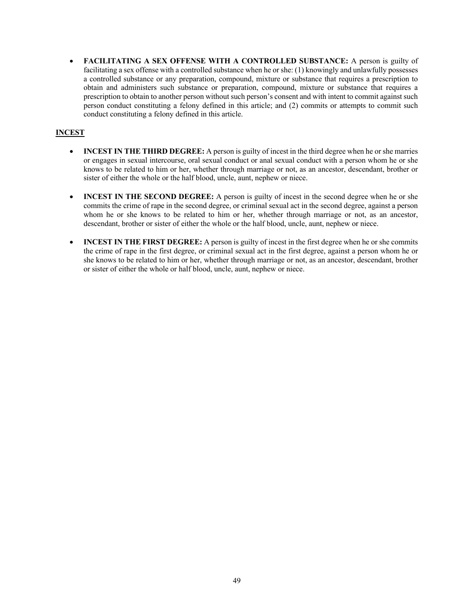• **FACILITATING A SEX OFFENSE WITH A CONTROLLED SUBSTANCE:** A person is guilty of facilitating a sex offense with a controlled substance when he or she: (1) knowingly and unlawfully possesses a controlled substance or any preparation, compound, mixture or substance that requires a prescription to obtain and administers such substance or preparation, compound, mixture or substance that requires a prescription to obtain to another person without such person's consent and with intent to commit against such person conduct constituting a felony defined in this article; and (2) commits or attempts to commit such conduct constituting a felony defined in this article.

# **INCEST**

- **INCEST IN THE THIRD DEGREE:** A person is guilty of incest in the third degree when he or she marries or engages in sexual intercourse, oral sexual conduct or anal sexual conduct with a person whom he or she knows to be related to him or her, whether through marriage or not, as an ancestor, descendant, brother or sister of either the whole or the half blood, uncle, aunt, nephew or niece.
- **INCEST IN THE SECOND DEGREE:** A person is guilty of incest in the second degree when he or she commits the crime of rape in the second degree, or criminal sexual act in the second degree, against a person whom he or she knows to be related to him or her, whether through marriage or not, as an ancestor, descendant, brother or sister of either the whole or the half blood, uncle, aunt, nephew or niece.
- **INCEST IN THE FIRST DEGREE:** A person is guilty of incest in the first degree when he or she commits the crime of rape in the first degree, or criminal sexual act in the first degree, against a person whom he or she knows to be related to him or her, whether through marriage or not, as an ancestor, descendant, brother or sister of either the whole or half blood, uncle, aunt, nephew or niece.